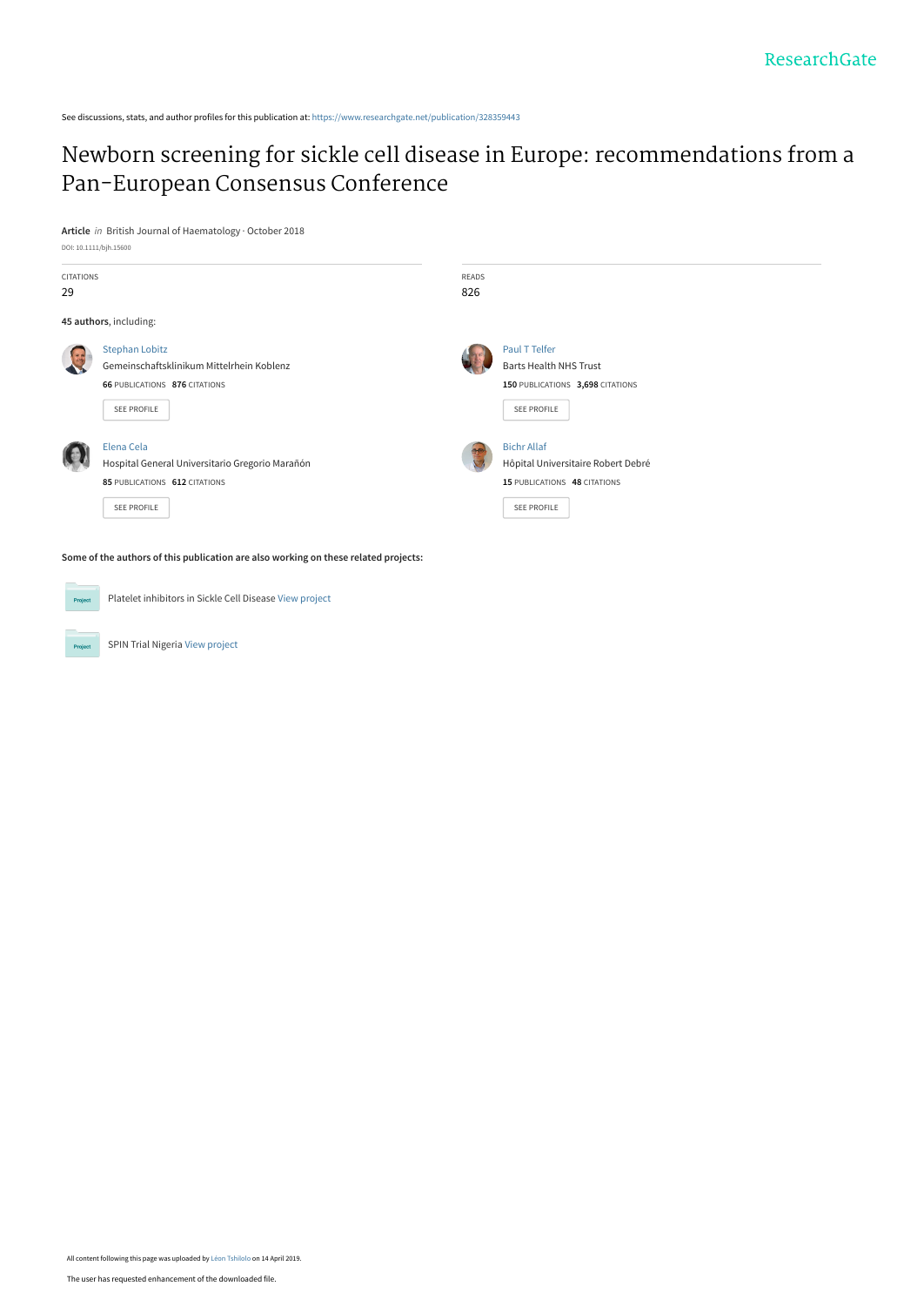See discussions, stats, and author profiles for this publication at: [https://www.researchgate.net/publication/328359443](https://www.researchgate.net/publication/328359443_Newborn_screening_for_sickle_cell_disease_in_Europe_recommendations_from_a_Pan-European_Consensus_Conference?enrichId=rgreq-c906ed2d70d25f51a9dc732ced127384-XXX&enrichSource=Y292ZXJQYWdlOzMyODM1OTQ0MztBUzo3NDc1NzExNzM2ODMyMDFAMTU1NTI0NjI2NTIxMg%3D%3D&el=1_x_2&_esc=publicationCoverPdf)

# [Newborn screening for sickle cell disease in Europe: recommendations from a](https://www.researchgate.net/publication/328359443_Newborn_screening_for_sickle_cell_disease_in_Europe_recommendations_from_a_Pan-European_Consensus_Conference?enrichId=rgreq-c906ed2d70d25f51a9dc732ced127384-XXX&enrichSource=Y292ZXJQYWdlOzMyODM1OTQ0MztBUzo3NDc1NzExNzM2ODMyMDFAMTU1NTI0NjI2NTIxMg%3D%3D&el=1_x_3&_esc=publicationCoverPdf) Pan-European Consensus Conference

**Article** in British Journal of Haematology · October 2018 DOI: 10.1111/bjh.15600



Platelet inhibitors in Sickle Cell Disease [View project](https://www.researchgate.net/project/Platelet-inhibitors-in-Sickle-Cell-Disease?enrichId=rgreq-c906ed2d70d25f51a9dc732ced127384-XXX&enrichSource=Y292ZXJQYWdlOzMyODM1OTQ0MztBUzo3NDc1NzExNzM2ODMyMDFAMTU1NTI0NjI2NTIxMg%3D%3D&el=1_x_9&_esc=publicationCoverPdf)  $Prc$ 

Project

SPIN Trial Nigeria [View project](https://www.researchgate.net/project/SPIN-Trial-Nigeria?enrichId=rgreq-c906ed2d70d25f51a9dc732ced127384-XXX&enrichSource=Y292ZXJQYWdlOzMyODM1OTQ0MztBUzo3NDc1NzExNzM2ODMyMDFAMTU1NTI0NjI2NTIxMg%3D%3D&el=1_x_9&_esc=publicationCoverPdf)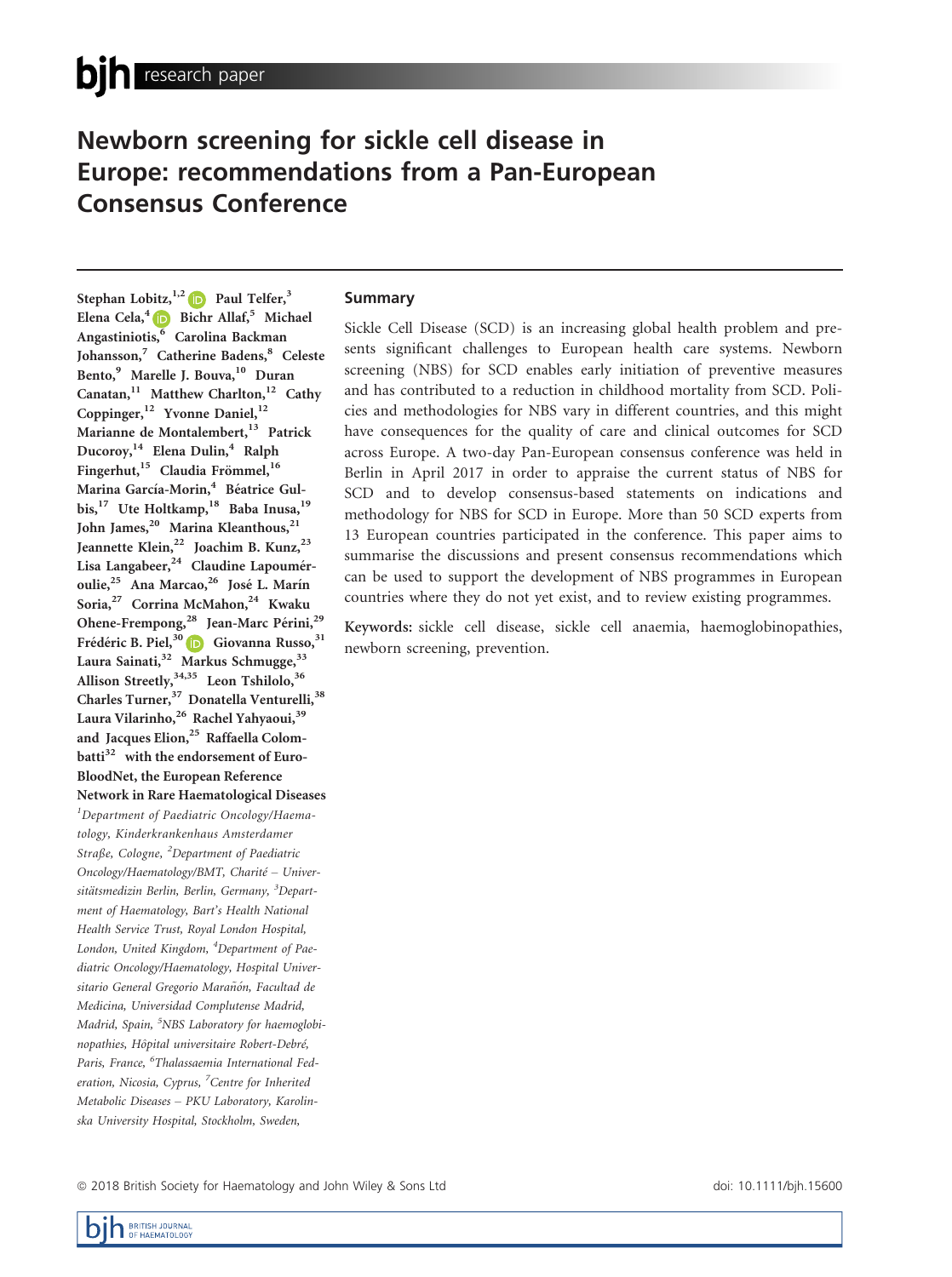# Newborn screening for sickle cell disease in Europe: recommendations from a Pan-European Consensus Conference

Stephan Lobitz,  $^{1,2}$  Paul Telfer,<sup>3</sup> Elena Cela,<sup>4</sup> Bichr Allaf,<sup>5</sup> Michael Angastiniotis,<sup>6</sup> Carolina Backman Johansson,<sup>7</sup> Catherine Badens,<sup>8</sup> Celeste Bento,<sup>9</sup> Marelle J. Bouva,<sup>10</sup> Duran Canatan,<sup>11</sup> Matthew Charlton,<sup>12</sup> Cathy Coppinger,  $^{12}$  Yvonne Daniel,  $^{12}$ Marianne de Montalembert,<sup>13</sup> Patrick Ducoroy,<sup>14</sup> Elena Dulin,<sup>4</sup> Ralph Fingerhut,<sup>15</sup> Claudia Frömmel,<sup>16</sup> Marina García-Morin,<sup>4</sup> Béatrice Gulbis,<sup>17</sup> Ute Holtkamp,<sup>18</sup> Baba Inusa,<sup>19</sup> John James,<sup>20</sup> Marina Kleanthous,<sup>21</sup> Jeannette Klein,<sup>22</sup> Joachim B. Kunz,<sup>23</sup> Lisa Langabeer, $^{24}$  Claudine Lapouméroulie,<sup>25</sup> Ana Marcao,<sup>26</sup> José L. Marín Soria,<sup>27</sup> Corrina McMahon,<sup>24</sup> Kwaku Ohene-Frempong,<sup>28</sup> Jean-Marc Périni,<sup>29</sup> Frédéric B. Piel,<sup>30</sup> Giovanna Russo,<sup>31</sup> Laura Sainati,<sup>32</sup> Markus Schmugge,<sup>33</sup> Allison Streetly,  $34,35$  Leon Tshilolo,  $36$ Charles Turner,<sup>37</sup> Donatella Venturelli,<sup>38</sup> Laura Vilarinho,<sup>26</sup> Rachel Yahyaoui,<sup>39</sup> and Jacques Elion, $^{25}$  Raffaella Colombatti $32$  with the endorsement of Euro-BloodNet, the European Reference Network in Rare Haematological Diseases <sup>1</sup>Department of Paediatric Oncology/Haematology, Kinderkrankenhaus Amsterdamer Straße, Cologne, <sup>2</sup>Department of Paediatric Oncology/Haematology/BMT, Charité - Universitätsmedizin Berlin, Berlin, Germany, <sup>3</sup>Department of Haematology, Bart's Health National Health Service Trust, Royal London Hospital, London, United Kingdom, <sup>4</sup>Department of Paediatric Oncology/Haematology, Hospital Universitario General Gregorio Marañón, Facultad de Medicina, Universidad Complutense Madrid, Madrid, Spain, <sup>5</sup>NBS Laboratory for haemoglobinopathies, Hôpital universitaire Robert-Debré, Paris, France, <sup>6</sup>Thalassaemia International Federation, Nicosia, Cyprus, <sup>7</sup>Centre for Inherited Metabolic Diseases – PKU Laboratory, Karolinska University Hospital, Stockholm, Sweden,

## Summary

Sickle Cell Disease (SCD) is an increasing global health problem and presents significant challenges to European health care systems. Newborn screening (NBS) for SCD enables early initiation of preventive measures and has contributed to a reduction in childhood mortality from SCD. Policies and methodologies for NBS vary in different countries, and this might have consequences for the quality of care and clinical outcomes for SCD across Europe. A two-day Pan-European consensus conference was held in Berlin in April 2017 in order to appraise the current status of NBS for SCD and to develop consensus-based statements on indications and methodology for NBS for SCD in Europe. More than 50 SCD experts from 13 European countries participated in the conference. This paper aims to summarise the discussions and present consensus recommendations which can be used to support the development of NBS programmes in European countries where they do not yet exist, and to review existing programmes.

Keywords: sickle cell disease, sickle cell anaemia, haemoglobinopathies, newborn screening, prevention.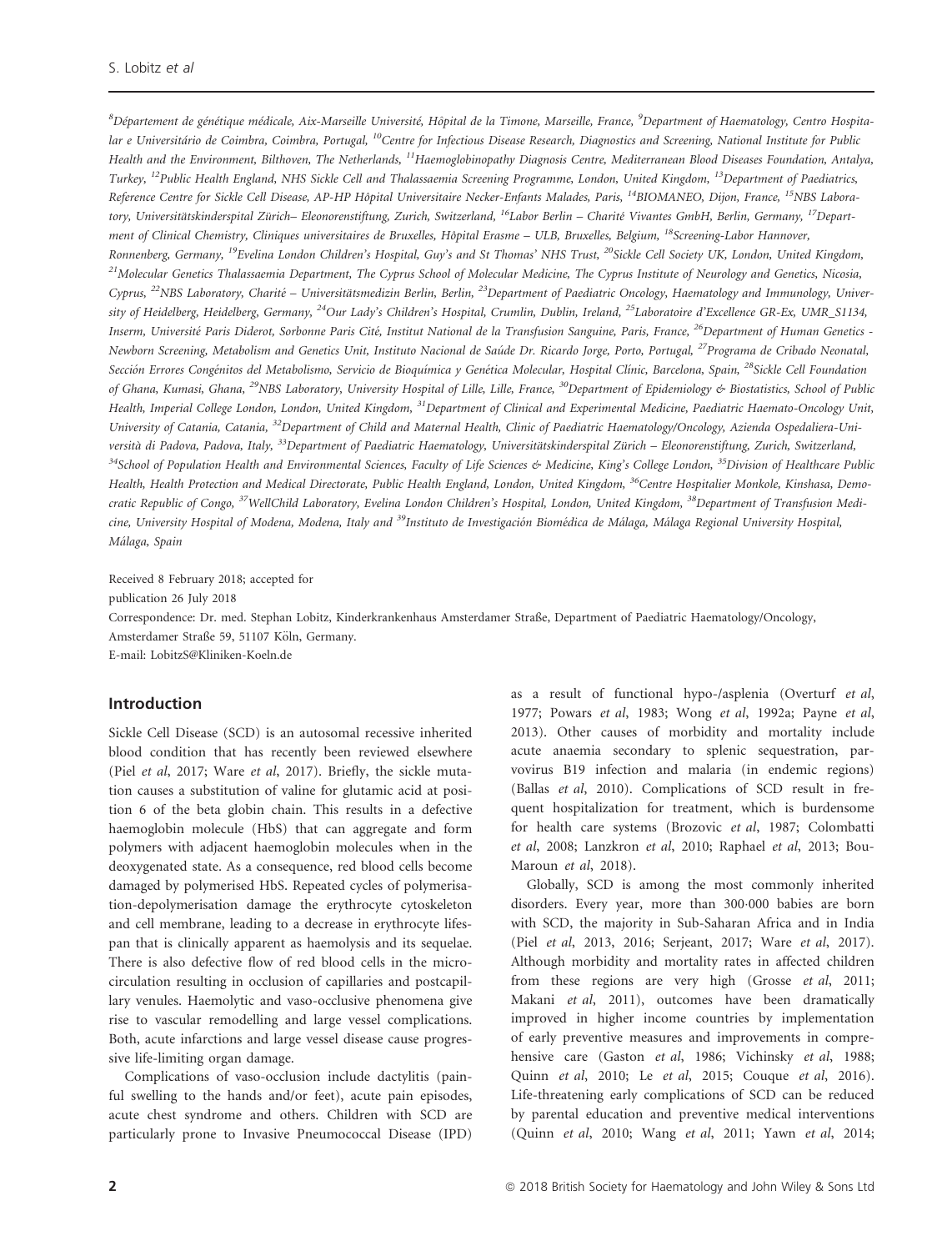<sup>8</sup>Département de génétique médicale, Aix-Marseille Université, Hôpital de la Timone, Marseille, France, <sup>9</sup>Department of Haematology, Centro Hospitalar e Universitário de Coimbra, Coimbra, Portugal, <sup>10</sup>Centre for Infectious Disease Research, Diagnostics and Screening, National Institute for Public Health and the Environment, Bilthoven, The Netherlands, <sup>11</sup>Haemoglobinopathy Diagnosis Centre, Mediterranean Blood Diseases Foundation, Antalya, Turkey, <sup>12</sup>Public Health England, NHS Sickle Cell and Thalassaemia Screening Programme, London, United Kingdom, <sup>13</sup>Department of Paediatrics, Reference Centre for Sickle Cell Disease, AP-HP Hôpital Universitaire Necker-Enfants Malades, Paris, <sup>14</sup>BIOMANEO, Dijon, France, <sup>15</sup>NBS Laboratory, Universitätskinderspital Zürich– Eleonorenstiftung, Zurich, Switzerland, <sup>16</sup>Labor Berlin – Charité Vivantes GmbH, Berlin, Germany, <sup>17</sup>Department of Clinical Chemistry, Cliniques universitaires de Bruxelles, Hôpital Erasme – ULB, Bruxelles, Belgium, <sup>18</sup>Screening-Labor Hannover, Ronnenberg, Germany, <sup>19</sup>Evelina London Children's Hospital, Guy's and St Thomas' NHS Trust, <sup>20</sup>Sickle Cell Society UK, London, United Kingdom, <sup>21</sup>Molecular Genetics Thalassaemia Department, The Cyprus School of Molecular Medicine, The Cyprus Institute of Neurology and Genetics, Nicosia, Cyprus, <sup>22</sup>NBS Laboratory, Charité – Universitätsmedizin Berlin, Berlin, <sup>23</sup>Department of Paediatric Oncology, Haematology and Immunology, University of Heidelberg, Heidelberg, Germany, <sup>24</sup>Our Lady's Children's Hospital, Crumlin, Dublin, Ireland, <sup>25</sup>Laboratoire d'Excellence GR-Ex, UMR\_S1134, Inserm, Université Paris Diderot, Sorbonne Paris Cité, Institut National de la Transfusion Sanguine, Paris, France, <sup>26</sup>Department of Human Genetics -Newborn Screening, Metabolism and Genetics Unit, Instituto Nacional de Saúde Dr. Ricardo Jorge, Porto, Portugal, <sup>27</sup>Programa de Cribado Neonatal, Sección Errores Congénitos del Metabolismo, Servicio de Bioquímica y Genética Molecular, Hospital Clínic, Barcelona, Spain, <sup>28</sup>Sickle Cell Foundation of Ghana, Kumasi, Ghana, <sup>29</sup>NBS Laboratory, University Hospital of Lille, Lille, France, <sup>30</sup>Department of Epidemiology & Biostatistics, School of Public Health, Imperial College London, London, United Kingdom, <sup>31</sup>Department of Clinical and Experimental Medicine, Paediatric Haemato-Oncology Unit, University of Catania, Catania, <sup>32</sup>Department of Child and Maternal Health, Clinic of Paediatric Haematology/Oncology, Azienda Ospedaliera-Università di Padova, Padova, Italy, <sup>33</sup>Department of Paediatric Haematology, Universitätskinderspital Zürich – Eleonorenstiftung, Zurich, Switzerland, <sup>34</sup>School of Population Health and Environmental Sciences, Faculty of Life Sciences & Medicine, King's College London, <sup>35</sup>Division of Healthcare Public Health, Health Protection and Medical Directorate, Public Health England, London, United Kingdom, <sup>36</sup>Centre Hospitalier Monkole, Kinshasa, Democratic Republic of Congo, <sup>37</sup>WellChild Laboratory, Evelina London Children's Hospital, London, United Kingdom, <sup>38</sup>Department of Transfusion Medicine, University Hospital of Modena, Modena, Italy and <sup>39</sup>Instituto de Investigación Biomédica de Málaga, Málaga Regional University Hospital, Málaga, Spain

Received 8 February 2018; accepted for

publication 26 July 2018

Correspondence: Dr. med. Stephan Lobitz, Kinderkrankenhaus Amsterdamer Straße, Department of Paediatric Haematology/Oncology, Amsterdamer Straße 59, 51107 Köln, Germany.

E-mail: [LobitzS@Kliniken-Koeln.de](mailto:)

## Introduction

Sickle Cell Disease (SCD) is an autosomal recessive inherited blood condition that has recently been reviewed elsewhere (Piel et al, 2017; Ware et al, 2017). Briefly, the sickle mutation causes a substitution of valine for glutamic acid at position 6 of the beta globin chain. This results in a defective haemoglobin molecule (HbS) that can aggregate and form polymers with adjacent haemoglobin molecules when in the deoxygenated state. As a consequence, red blood cells become damaged by polymerised HbS. Repeated cycles of polymerisation-depolymerisation damage the erythrocyte cytoskeleton and cell membrane, leading to a decrease in erythrocyte lifespan that is clinically apparent as haemolysis and its sequelae. There is also defective flow of red blood cells in the microcirculation resulting in occlusion of capillaries and postcapillary venules. Haemolytic and vaso-occlusive phenomena give rise to vascular remodelling and large vessel complications. Both, acute infarctions and large vessel disease cause progressive life-limiting organ damage.

Complications of vaso-occlusion include dactylitis (painful swelling to the hands and/or feet), acute pain episodes, acute chest syndrome and others. Children with SCD are particularly prone to Invasive Pneumococcal Disease (IPD) as a result of functional hypo-/asplenia (Overturf et al, 1977; Powars et al, 1983; Wong et al, 1992a; Payne et al, 2013). Other causes of morbidity and mortality include acute anaemia secondary to splenic sequestration, parvovirus B19 infection and malaria (in endemic regions) (Ballas et al, 2010). Complications of SCD result in frequent hospitalization for treatment, which is burdensome for health care systems (Brozovic et al, 1987; Colombatti et al, 2008; Lanzkron et al, 2010; Raphael et al, 2013; Bou-Maroun et al, 2018).

Globally, SCD is among the most commonly inherited disorders. Every year, more than 300.000 babies are born with SCD, the majority in Sub-Saharan Africa and in India (Piel et al, 2013, 2016; Serjeant, 2017; Ware et al, 2017). Although morbidity and mortality rates in affected children from these regions are very high (Grosse et al, 2011; Makani et al, 2011), outcomes have been dramatically improved in higher income countries by implementation of early preventive measures and improvements in comprehensive care (Gaston et al, 1986; Vichinsky et al, 1988; Quinn et al, 2010; Le et al, 2015; Couque et al, 2016). Life-threatening early complications of SCD can be reduced by parental education and preventive medical interventions (Quinn et al, 2010; Wang et al, 2011; Yawn et al, 2014;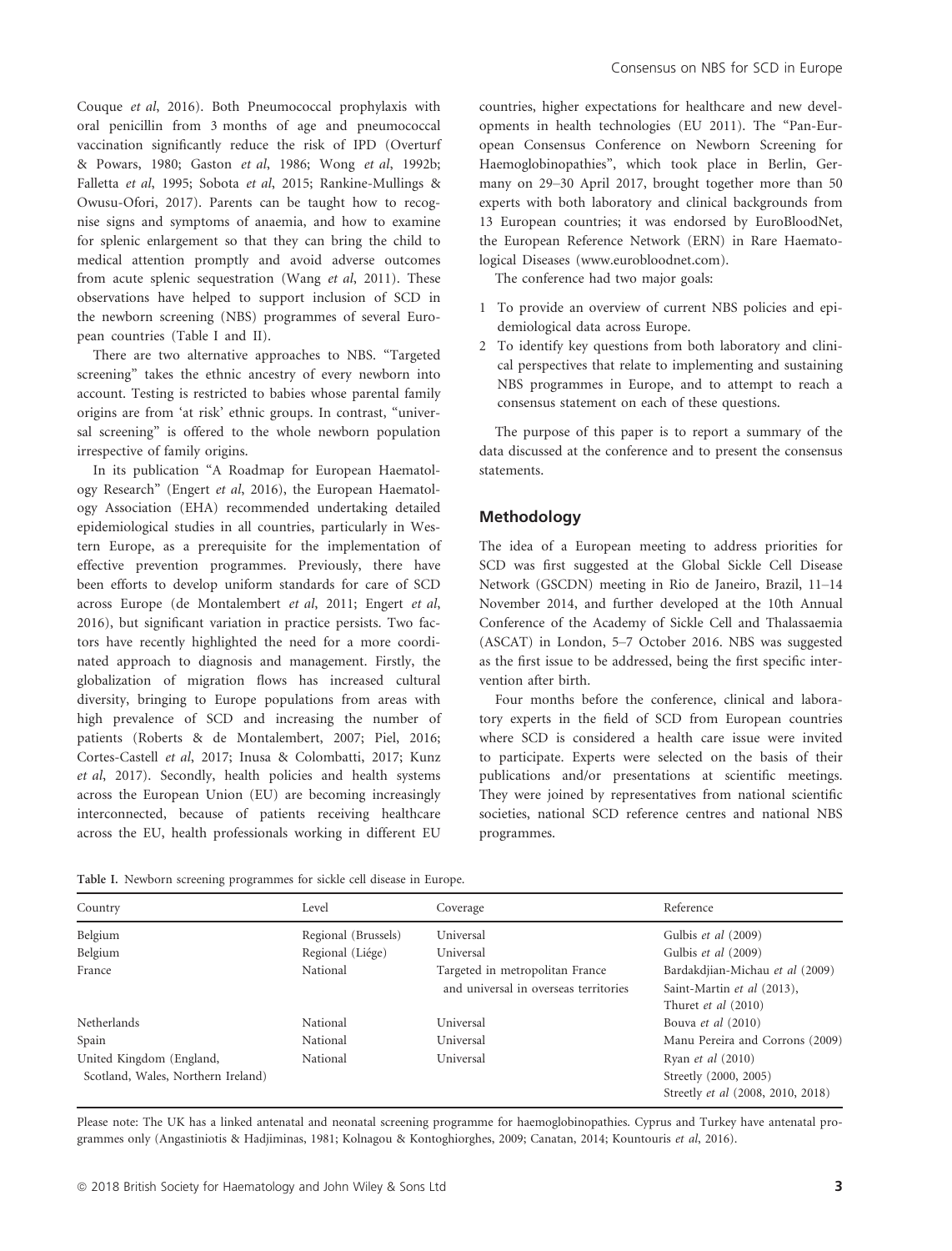Couque et al, 2016). Both Pneumococcal prophylaxis with oral penicillin from 3 months of age and pneumococcal vaccination significantly reduce the risk of IPD (Overturf & Powars, 1980; Gaston et al, 1986; Wong et al, 1992b; Falletta et al, 1995; Sobota et al, 2015; Rankine-Mullings & Owusu-Ofori, 2017). Parents can be taught how to recognise signs and symptoms of anaemia, and how to examine for splenic enlargement so that they can bring the child to medical attention promptly and avoid adverse outcomes from acute splenic sequestration (Wang et al, 2011). These observations have helped to support inclusion of SCD in the newborn screening (NBS) programmes of several European countries (Table I and II).

There are two alternative approaches to NBS. "Targeted screening" takes the ethnic ancestry of every newborn into account. Testing is restricted to babies whose parental family origins are from 'at risk' ethnic groups. In contrast, "universal screening" is offered to the whole newborn population irrespective of family origins.

In its publication "A Roadmap for European Haematology Research" (Engert et al, 2016), the European Haematology Association (EHA) recommended undertaking detailed epidemiological studies in all countries, particularly in Western Europe, as a prerequisite for the implementation of effective prevention programmes. Previously, there have been efforts to develop uniform standards for care of SCD across Europe (de Montalembert et al, 2011; Engert et al, 2016), but significant variation in practice persists. Two factors have recently highlighted the need for a more coordinated approach to diagnosis and management. Firstly, the globalization of migration flows has increased cultural diversity, bringing to Europe populations from areas with high prevalence of SCD and increasing the number of patients (Roberts & de Montalembert, 2007; Piel, 2016; Cortes-Castell et al, 2017; Inusa & Colombatti, 2017; Kunz et al, 2017). Secondly, health policies and health systems across the European Union (EU) are becoming increasingly interconnected, because of patients receiving healthcare across the EU, health professionals working in different EU

countries, higher expectations for healthcare and new developments in health technologies (EU 2011). The "Pan-European Consensus Conference on Newborn Screening for Haemoglobinopathies", which took place in Berlin, Germany on 29–30 April 2017, brought together more than 50 experts with both laboratory and clinical backgrounds from 13 European countries; it was endorsed by EuroBloodNet, the European Reference Network (ERN) in Rare Haematological Diseases ([www.eurobloodnet.com\)](http://www.eurobloodnet.com).

The conference had two major goals:

- 1 To provide an overview of current NBS policies and epidemiological data across Europe.
- 2 To identify key questions from both laboratory and clinical perspectives that relate to implementing and sustaining NBS programmes in Europe, and to attempt to reach a consensus statement on each of these questions.

The purpose of this paper is to report a summary of the data discussed at the conference and to present the consensus statements.

# Methodology

The idea of a European meeting to address priorities for SCD was first suggested at the Global Sickle Cell Disease Network (GSCDN) meeting in Rio de Janeiro, Brazil, 11–14 November 2014, and further developed at the 10th Annual Conference of the Academy of Sickle Cell and Thalassaemia (ASCAT) in London, 5–7 October 2016. NBS was suggested as the first issue to be addressed, being the first specific intervention after birth.

Four months before the conference, clinical and laboratory experts in the field of SCD from European countries where SCD is considered a health care issue were invited to participate. Experts were selected on the basis of their publications and/or presentations at scientific meetings. They were joined by representatives from national scientific societies, national SCD reference centres and national NBS programmes.

Table I. Newborn screening programmes for sickle cell disease in Europe.

| Country                            | Level               | Coverage                              | Reference                         |
|------------------------------------|---------------------|---------------------------------------|-----------------------------------|
| Belgium                            | Regional (Brussels) | Universal                             | Gulbis et al (2009)               |
| Belgium                            | Regional (Liége)    | Universal                             | Gulbis et al (2009)               |
| France                             | National            | Targeted in metropolitan France       | Bardakdjian-Michau et al (2009)   |
|                                    |                     | and universal in overseas territories | Saint-Martin et al (2013),        |
|                                    |                     |                                       | Thuret et al (2010)               |
| Netherlands                        | National            | Universal                             | Bouva et al $(2010)$              |
| Spain                              | National            | Universal                             | Manu Pereira and Corrons (2009)   |
| United Kingdom (England,           | National            | Universal                             | Ryan <i>et al</i> (2010)          |
| Scotland, Wales, Northern Ireland) |                     |                                       | Streetly (2000, 2005)             |
|                                    |                     |                                       | Streetly et al (2008, 2010, 2018) |

Please note: The UK has a linked antenatal and neonatal screening programme for haemoglobinopathies. Cyprus and Turkey have antenatal programmes only (Angastiniotis & Hadjiminas, 1981; Kolnagou & Kontoghiorghes, 2009; Canatan, 2014; Kountouris et al, 2016).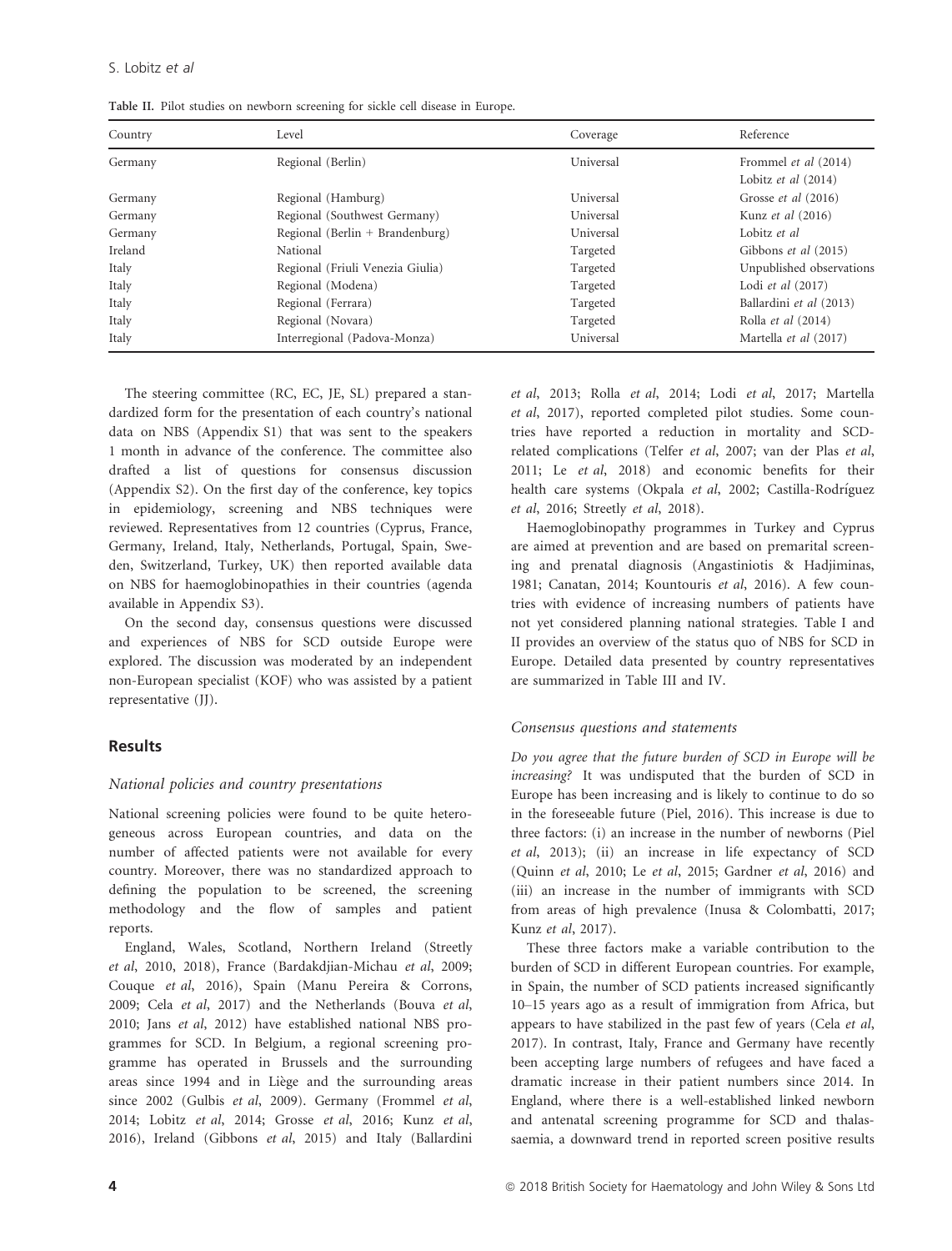| Country | Level                            | Coverage  | Reference                                     |
|---------|----------------------------------|-----------|-----------------------------------------------|
| Germany | Regional (Berlin)                | Universal | Frommel et al (2014)<br>Lobitz et al $(2014)$ |
| Germany | Regional (Hamburg)               | Universal | Grosse et al (2016)                           |
| Germany | Regional (Southwest Germany)     | Universal | Kunz et al (2016)                             |
| Germany | Regional (Berlin + Brandenburg)  | Universal | Lobitz et al                                  |
| Ireland | National                         | Targeted  | Gibbons et al (2015)                          |
| Italy   | Regional (Friuli Venezia Giulia) | Targeted  | Unpublished observations                      |
| Italy   | Regional (Modena)                | Targeted  | Lodi et al $(2017)$                           |
| Italy   | Regional (Ferrara)               | Targeted  | Ballardini et al (2013)                       |
| Italy   | Regional (Novara)                | Targeted  | Rolla et al (2014)                            |
| Italy   | Interregional (Padova-Monza)     | Universal | Martella et al (2017)                         |

Table II. Pilot studies on newborn screening for sickle cell disease in Europe.

The steering committee (RC, EC, JE, SL) prepared a standardized form for the presentation of each country's national data on NBS (Appendix S1) that was sent to the speakers 1 month in advance of the conference. The committee also drafted a list of questions for consensus discussion (Appendix S2). On the first day of the conference, key topics in epidemiology, screening and NBS techniques were reviewed. Representatives from 12 countries (Cyprus, France, Germany, Ireland, Italy, Netherlands, Portugal, Spain, Sweden, Switzerland, Turkey, UK) then reported available data on NBS for haemoglobinopathies in their countries (agenda available in Appendix S3).

On the second day, consensus questions were discussed and experiences of NBS for SCD outside Europe were explored. The discussion was moderated by an independent non-European specialist (KOF) who was assisted by a patient representative (JJ).

## Results

## National policies and country presentations

National screening policies were found to be quite heterogeneous across European countries, and data on the number of affected patients were not available for every country. Moreover, there was no standardized approach to defining the population to be screened, the screening methodology and the flow of samples and patient reports.

England, Wales, Scotland, Northern Ireland (Streetly et al, 2010, 2018), France (Bardakdjian-Michau et al, 2009; Couque et al, 2016), Spain (Manu Pereira & Corrons, 2009; Cela et al, 2017) and the Netherlands (Bouva et al, 2010; Jans et al, 2012) have established national NBS programmes for SCD. In Belgium, a regional screening programme has operated in Brussels and the surrounding areas since 1994 and in Liege and the surrounding areas since 2002 (Gulbis et al, 2009). Germany (Frommel et al, 2014; Lobitz et al, 2014; Grosse et al, 2016; Kunz et al, 2016), Ireland (Gibbons et al, 2015) and Italy (Ballardini et al, 2013; Rolla et al, 2014; Lodi et al, 2017; Martella et al, 2017), reported completed pilot studies. Some countries have reported a reduction in mortality and SCDrelated complications (Telfer et al, 2007; van der Plas et al, 2011; Le et al, 2018) and economic benefits for their health care systems (Okpala et al, 2002; Castilla-Rodríguez et al, 2016; Streetly et al, 2018).

Haemoglobinopathy programmes in Turkey and Cyprus are aimed at prevention and are based on premarital screening and prenatal diagnosis (Angastiniotis & Hadjiminas, 1981; Canatan, 2014; Kountouris et al, 2016). A few countries with evidence of increasing numbers of patients have not yet considered planning national strategies. Table I and II provides an overview of the status quo of NBS for SCD in Europe. Detailed data presented by country representatives are summarized in Table III and IV.

# Consensus questions and statements

Do you agree that the future burden of SCD in Europe will be increasing? It was undisputed that the burden of SCD in Europe has been increasing and is likely to continue to do so in the foreseeable future (Piel, 2016). This increase is due to three factors: (i) an increase in the number of newborns (Piel et al, 2013); (ii) an increase in life expectancy of SCD (Quinn et al, 2010; Le et al, 2015; Gardner et al, 2016) and (iii) an increase in the number of immigrants with SCD from areas of high prevalence (Inusa & Colombatti, 2017; Kunz et al, 2017).

These three factors make a variable contribution to the burden of SCD in different European countries. For example, in Spain, the number of SCD patients increased significantly 10–15 years ago as a result of immigration from Africa, but appears to have stabilized in the past few of years (Cela et al, 2017). In contrast, Italy, France and Germany have recently been accepting large numbers of refugees and have faced a dramatic increase in their patient numbers since 2014. In England, where there is a well-established linked newborn and antenatal screening programme for SCD and thalassaemia, a downward trend in reported screen positive results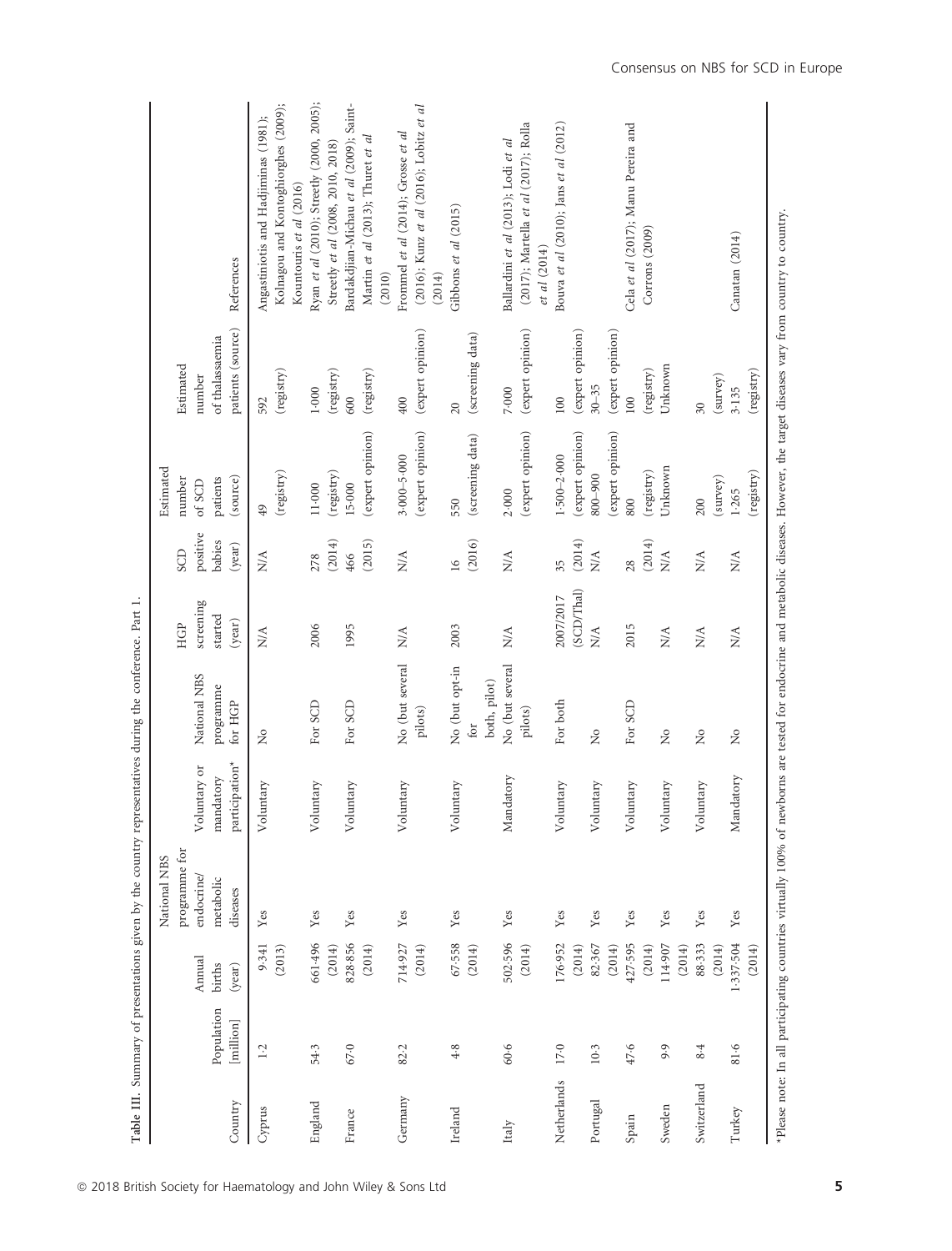|             |            |           | National NBS                                                                                                                                                                        |                | Table III. Summary of presentations given by the country representatives during the conference. Part 1. |                                          |            | Estimated        |                     |                                                                |
|-------------|------------|-----------|-------------------------------------------------------------------------------------------------------------------------------------------------------------------------------------|----------------|---------------------------------------------------------------------------------------------------------|------------------------------------------|------------|------------------|---------------------|----------------------------------------------------------------|
|             |            |           | programme for                                                                                                                                                                       |                |                                                                                                         | HGP                                      | SCD        | number           | Estimated           |                                                                |
|             |            | Annual    | endocrine/                                                                                                                                                                          | Voluntary or   | National NBS                                                                                            | screening                                | positive   | of SCD           | number              |                                                                |
|             | Population | births    | metabolic                                                                                                                                                                           | mandatory      | programme                                                                                               | started                                  | babies     | patients         | of thalassaemia     |                                                                |
| Country     | [million]  | (year)    | diseases                                                                                                                                                                            | participation* | for HGP                                                                                                 | (year)                                   | (year)     | (source)         | patients (source)   | References                                                     |
| Cyprus      | 1.2        | 9.341     | Yes                                                                                                                                                                                 | Voluntary      | $\stackrel{\circ}{\simeq}$                                                                              | $\rm N\!A$                               | $\rm N\!A$ | 49               | 592                 | Angastiniotis and Hadjiminas (1981);                           |
|             |            | (2013)    |                                                                                                                                                                                     |                |                                                                                                         |                                          |            | (registry)       | (registry)          | Kolnagou and Kontoghiorghes (2009);<br>Kountouris et al (2016) |
| England     | 54.3       | 661.496   | Yes                                                                                                                                                                                 | Voluntary      | For SCD                                                                                                 | 2006                                     | 278        | 11.000           | 1.000               | Ryan et al (2010); Streetly (2000, 2005);                      |
|             |            | (2014)    |                                                                                                                                                                                     |                |                                                                                                         |                                          | (2014)     | (registry)       | (registry)          | Streetly et al (2008, 2010, 2018)                              |
| France      | 67.0       | 828-856   | $\mathbf{Yes}$                                                                                                                                                                      | Voluntary      | For SCD                                                                                                 | 1995                                     | 466        | 15.000           | 600                 | Bardakdjian-Michau et al (2009); Saint-                        |
|             |            | (2014)    |                                                                                                                                                                                     |                |                                                                                                         |                                          | (2015)     | (expert opinion) | (registry)          | Martin et al (2013); Thuret et al<br>(2010)                    |
| Germany     | 82.2       | 714.927   | Yes                                                                                                                                                                                 | Voluntary      | No (but several                                                                                         | $\stackrel{\triangle}{\scriptstyle\sim}$ | $\rm N\!A$ | $3.000 - 5.000$  | 400                 | Frommel et al (2014); Grosse et al                             |
|             |            | (2014)    |                                                                                                                                                                                     |                | pilots)                                                                                                 |                                          |            | (expert opinion) | (expert opinion)    | (2016); Kunz et al (2016); Lobitz et al                        |
|             |            |           |                                                                                                                                                                                     |                |                                                                                                         |                                          |            |                  |                     | (2014)                                                         |
| Ireland     | 4.8        | 67.558    | Yes                                                                                                                                                                                 | Voluntary      | No (but opt-in                                                                                          | 2003                                     | 16         | 550              | 20                  | Gibbons et al $(2015)$                                         |
|             |            | (2014)    |                                                                                                                                                                                     |                | both, pilot)<br>for                                                                                     |                                          | (2016)     | (screening data) | (screening data)    |                                                                |
| Italy       | 60.6       | 502-596   | Yes                                                                                                                                                                                 | Mandatory      | No (but several                                                                                         | $\stackrel{\triangle}{\scriptstyle\sim}$ | N/A        | 2.000            | 7.000               | Ballardini et al (2013); Lodi et al                            |
|             |            |           |                                                                                                                                                                                     |                |                                                                                                         |                                          |            |                  |                     |                                                                |
|             |            | (2014)    |                                                                                                                                                                                     |                | pilots)                                                                                                 |                                          |            | (expert opinion) | (expert opinion)    | (2017); Martella et al (2017); Rolla<br>et al (2014)           |
| Netherlands | 17.0       | 176.952   | Yes                                                                                                                                                                                 | Voluntary      | For both                                                                                                | 2007/2017                                | 35         | $1.500 - 2.000$  | 100                 | Bouva et al (2010); Jans et al (2012)                          |
|             |            | (2014)    |                                                                                                                                                                                     |                |                                                                                                         | (SCD/Thal)                               | (2014)     | (expert opinion) | (expert opinion)    |                                                                |
| Portugal    | 10.3       | 82.367    | Yes                                                                                                                                                                                 | Voluntary      | ż                                                                                                       | $\mathop{\rm N}\nolimits\!mathcal{A}$    | N/A        | $006 - 908$      | $30 - 35$           |                                                                |
|             |            | (2014)    |                                                                                                                                                                                     |                |                                                                                                         |                                          |            | (expert opinion) | (expert opinion)    |                                                                |
| Spain       | 47.6       | 427-595   | Yes                                                                                                                                                                                 | Voluntary      | For SCD                                                                                                 | 2015                                     | 28         | 800              | 100                 | Cela et al (2017); Manu Pereira and                            |
|             |            | (2014)    |                                                                                                                                                                                     |                |                                                                                                         |                                          | (2014)     | (registry)       | (registry)          | Corrons (2009)                                                 |
| Sweden      | 9.9        | 114.907   | Yes                                                                                                                                                                                 | Voluntary      | $\tilde{z}$                                                                                             | N/A                                      | NA         | Unknown          | Unknown             |                                                                |
|             |            | (2014)    |                                                                                                                                                                                     |                |                                                                                                         |                                          |            |                  |                     |                                                                |
| Switzerland | 8.4        | 88.333    | Yes                                                                                                                                                                                 | Voluntary      | $\tilde{z}$                                                                                             | $N\mathcal{A}$                           | $\rm N\!A$ | 200              | $\overline{\omega}$ |                                                                |
|             |            | (2014)    |                                                                                                                                                                                     |                |                                                                                                         |                                          |            | (survey)         | (survey)            |                                                                |
| Turkey      | 81.6       | 1.337.504 | Yes                                                                                                                                                                                 | Mandatory      | $\tilde{z}$                                                                                             | $\stackrel{\triangle}{\scriptstyle\sim}$ | N/A        | 1.265            | 3.135               | Canatan (2014)                                                 |
|             |            | (2014)    |                                                                                                                                                                                     |                |                                                                                                         |                                          |            | (registry)       | (registry)          |                                                                |
|             |            |           | *Please note: In all participating countries virtually 100% of newborns are tested for endocrine and metabolic diseases. However, the target diseases vary from country to country. |                |                                                                                                         |                                          |            |                  |                     |                                                                |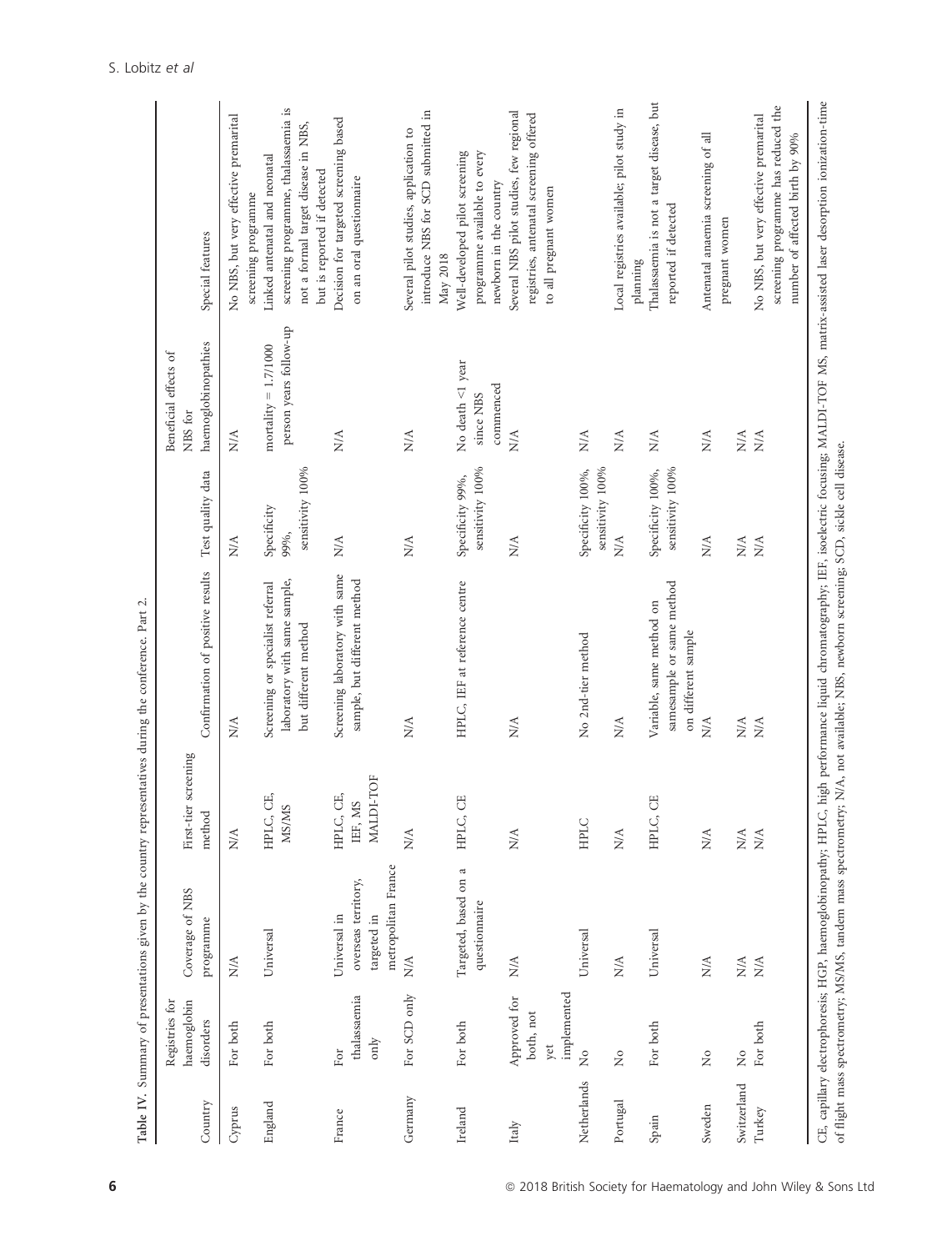| Country     | Registries for<br>haemoglobin<br>disorders      | Coverage of NBS                                                           | First-tier screening<br>method           | Confirmation of positive results                                             | Test quality data                        | haemoglobinopathies<br>Beneficial effects of<br>NBS for | Special features                                                                                                |
|-------------|-------------------------------------------------|---------------------------------------------------------------------------|------------------------------------------|------------------------------------------------------------------------------|------------------------------------------|---------------------------------------------------------|-----------------------------------------------------------------------------------------------------------------|
|             | For both                                        | programme<br>$\stackrel{\triangle}{\scriptstyle\sim}$                     | $\mathop{\rm NA}\nolimits$               | $\stackrel{\triangle}{\geq}$                                                 | $\stackrel{\triangle}{\scriptstyle\sim}$ | N/A                                                     | No NBS, but very effective premarital                                                                           |
| Cyprus      |                                                 |                                                                           |                                          |                                                                              |                                          |                                                         | screening programme                                                                                             |
| England     | For both                                        | Universal                                                                 | Œ,<br><b>MS/MS</b><br>HPLC,              | laboratory with same sample,<br>Screening or specialist referral             | Specificity<br>99%,                      | mortality = $1.7/1000$                                  | Linked antenatal and neonatal                                                                                   |
|             |                                                 |                                                                           |                                          | but different method                                                         | sensitivity 100%                         | person years follow-up                                  | screening programme, thalassaemia is<br>not a formal target disease in NBS,<br>but is reported if detected      |
| France      | thalassaemia<br>$\sin$<br>For                   | metropolitan France<br>overseas territory,<br>Universal in<br>targeted in | MALDI-TOF<br>Œ,<br>IEF, MS<br>HPLC,      | Screening laboratory with same<br>sample, but different method               | $\mathop{\rm NA}\limits^\Delta$          | $\frac{\triangleleft}{\triangle}$                       | Decision for targeted screening based<br>on an oral questionnaire                                               |
| Germany     | For SCD only                                    | $\mathop{\rm N/A}\nolimits$                                               | $\mathop{\rm N/A}\nolimits$              | $\mathop{\rm N}\nolimits\!mathop{\rm A}\nolimits$                            | $\stackrel{\triangle}{\scriptstyle\sim}$ | $\mathop{\rm NA}\limits^\Delta$                         | introduce NBS for SCD submitted in<br>Several pilot studies, application to<br>May 2018                         |
| Ireland     | For both                                        | Targeted, based on a<br>questionnaire                                     | U<br>HPLC,                               | HPLC, IEF at reference centre                                                | sensitivity 100%<br>Specificity 99%,     | No death <1 year<br>commenced<br>since NBS              | programme available to every<br>Well-developed pilot screening<br>newborn in the country                        |
| Italy       | implemented<br>Approved for<br>both, not<br>yet | $\mathop{\rm NA}\limits^\Delta$                                           | $\stackrel{\triangle}{\scriptstyle\sim}$ | $\stackrel{\triangle}{\scriptstyle\sim}$                                     | $\mathop{\rm NA}\nolimits$               | $\frac{\lambda}{2}$                                     | Several NBS pilot studies, few regional<br>registries, antenatal screening offered<br>to all pregnant women     |
| Netherlands | $\frac{1}{2}$                                   | Universal                                                                 | HPLC                                     | No 2nd-tier method                                                           | sensitivity 100%<br>Specificity 100%,    | $\stackrel{\triangle}{\geq}$                            |                                                                                                                 |
| Portugal    | $\tilde{z}$                                     | $\stackrel{\triangle}{\scriptstyle\sim}$                                  | $\mathop{\rm NA}\limits$                 | $\mathop{\rm NA}\limits$                                                     | N/A                                      | $\stackrel{\triangle}{\geq}$                            | Local registries available; pilot study in<br>planning                                                          |
| Spain       | For both                                        | Universal                                                                 | U<br>HPLC,                               | samesample or same method<br>Variable, same method on<br>on different sample | Specificity 100%,<br>sensitivity 100%    | $\stackrel{\triangle}{\approx}$                         | Thalassaemia is not a target disease, but<br>reported if detected                                               |
| Sweden      | $\tilde{z}$                                     | $\mathop{\rm NA}\limits^\Delta$                                           | $\mathop{\rm NA}\limits^\Delta$          | $\stackrel{\triangle}{\scriptstyle\sim}$                                     | N/A                                      | N/A                                                     | Antenatal anaemia screening of all<br>pregnant women                                                            |
| Switzerland | $\tilde{z}$                                     | $\stackrel{\triangle}{\scriptstyle\sim}$                                  | $\stackrel{\triangle}{\scriptstyle\sim}$ | $\rm N/A$                                                                    | $\stackrel{\triangle}{\geq}$             | $\rm N\!A$                                              |                                                                                                                 |
| Turkey      | For both                                        | N/A                                                                       | N/A                                      | N/A                                                                          | <b>N/A</b>                               | <b>N/A</b>                                              | screening programme has reduced the<br>No NBS, but very effective premarital<br>number of affected birth by 90% |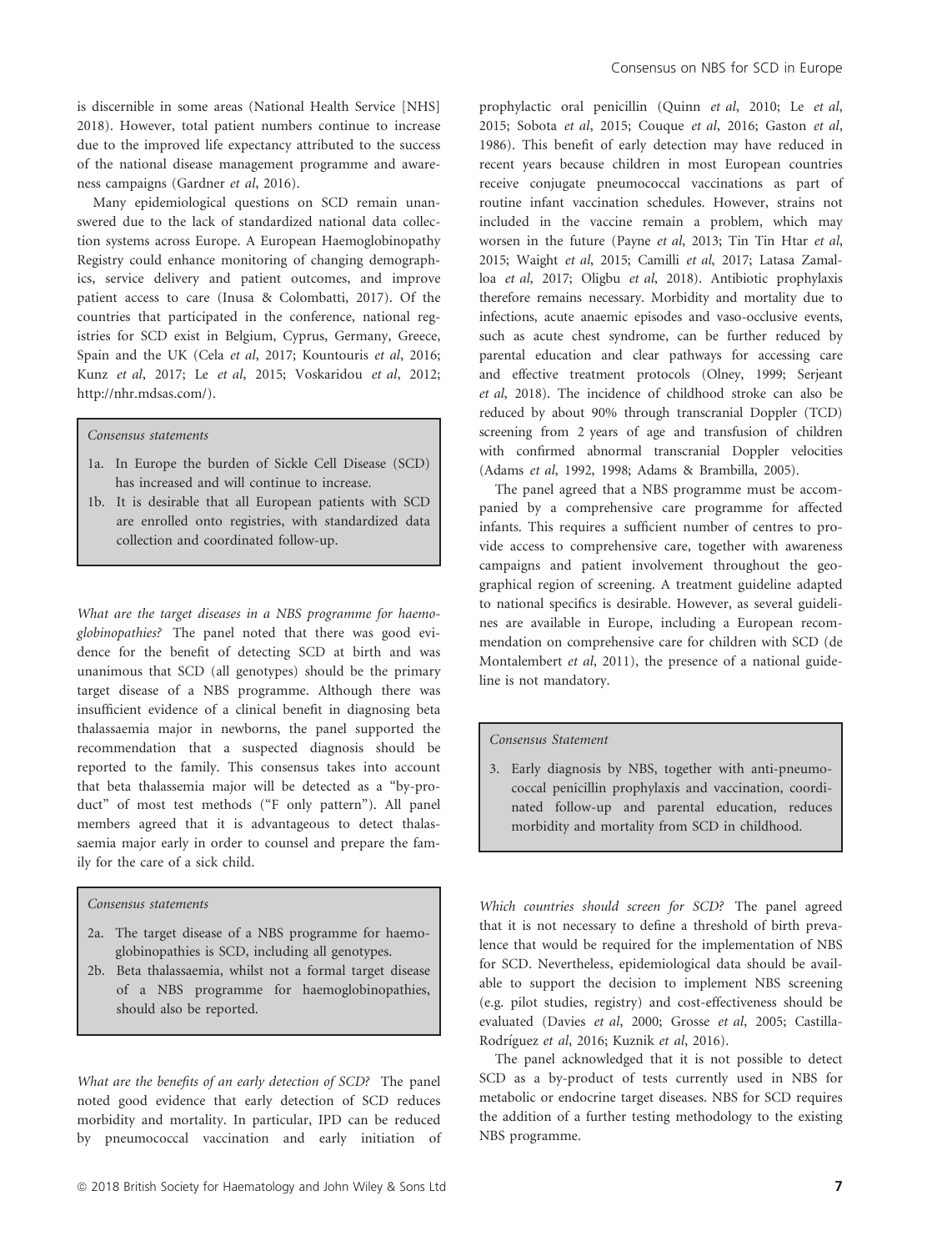is discernible in some areas (National Health Service [NHS] 2018). However, total patient numbers continue to increase due to the improved life expectancy attributed to the success of the national disease management programme and awareness campaigns (Gardner et al, 2016).

Many epidemiological questions on SCD remain unanswered due to the lack of standardized national data collection systems across Europe. A European Haemoglobinopathy Registry could enhance monitoring of changing demographics, service delivery and patient outcomes, and improve patient access to care (Inusa & Colombatti, 2017). Of the countries that participated in the conference, national registries for SCD exist in Belgium, Cyprus, Germany, Greece, Spain and the UK (Cela et al, 2017; Kountouris et al, 2016; Kunz et al, 2017; Le et al, 2015; Voskaridou et al, 2012; [http://nhr.mdsas.com/\)](http://nhr.mdsas.com/).

Consensus statements

- 1a. In Europe the burden of Sickle Cell Disease (SCD) has increased and will continue to increase.
- 1b. It is desirable that all European patients with SCD are enrolled onto registries, with standardized data collection and coordinated follow-up.

What are the target diseases in a NBS programme for haemoglobinopathies? The panel noted that there was good evidence for the benefit of detecting SCD at birth and was unanimous that SCD (all genotypes) should be the primary target disease of a NBS programme. Although there was insufficient evidence of a clinical benefit in diagnosing beta thalassaemia major in newborns, the panel supported the recommendation that a suspected diagnosis should be reported to the family. This consensus takes into account that beta thalassemia major will be detected as a "by-product" of most test methods ("F only pattern"). All panel members agreed that it is advantageous to detect thalassaemia major early in order to counsel and prepare the family for the care of a sick child.

Consensus statements

- 2a. The target disease of a NBS programme for haemoglobinopathies is SCD, including all genotypes.
- 2b. Beta thalassaemia, whilst not a formal target disease of a NBS programme for haemoglobinopathies, should also be reported.

What are the benefits of an early detection of SCD? The panel noted good evidence that early detection of SCD reduces morbidity and mortality. In particular, IPD can be reduced by pneumococcal vaccination and early initiation of prophylactic oral penicillin (Quinn et al, 2010; Le et al, 2015; Sobota et al, 2015; Couque et al, 2016; Gaston et al, 1986). This benefit of early detection may have reduced in recent years because children in most European countries receive conjugate pneumococcal vaccinations as part of routine infant vaccination schedules. However, strains not included in the vaccine remain a problem, which may worsen in the future (Payne et al, 2013; Tin Tin Htar et al, 2015; Waight et al, 2015; Camilli et al, 2017; Latasa Zamalloa et al, 2017; Oligbu et al, 2018). Antibiotic prophylaxis therefore remains necessary. Morbidity and mortality due to infections, acute anaemic episodes and vaso-occlusive events, such as acute chest syndrome, can be further reduced by parental education and clear pathways for accessing care and effective treatment protocols (Olney, 1999; Serjeant et al, 2018). The incidence of childhood stroke can also be reduced by about 90% through transcranial Doppler (TCD) screening from 2 years of age and transfusion of children with confirmed abnormal transcranial Doppler velocities (Adams et al, 1992, 1998; Adams & Brambilla, 2005).

The panel agreed that a NBS programme must be accompanied by a comprehensive care programme for affected infants. This requires a sufficient number of centres to provide access to comprehensive care, together with awareness campaigns and patient involvement throughout the geographical region of screening. A treatment guideline adapted to national specifics is desirable. However, as several guidelines are available in Europe, including a European recommendation on comprehensive care for children with SCD (de Montalembert et al, 2011), the presence of a national guideline is not mandatory.

## Consensus Statement

3. Early diagnosis by NBS, together with anti-pneumococcal penicillin prophylaxis and vaccination, coordinated follow-up and parental education, reduces morbidity and mortality from SCD in childhood.

Which countries should screen for SCD? The panel agreed that it is not necessary to define a threshold of birth prevalence that would be required for the implementation of NBS for SCD. Nevertheless, epidemiological data should be available to support the decision to implement NBS screening (e.g. pilot studies, registry) and cost-effectiveness should be evaluated (Davies et al, 2000; Grosse et al, 2005; Castilla-Rodríguez et al, 2016; Kuznik et al, 2016).

The panel acknowledged that it is not possible to detect SCD as a by-product of tests currently used in NBS for metabolic or endocrine target diseases. NBS for SCD requires the addition of a further testing methodology to the existing NBS programme.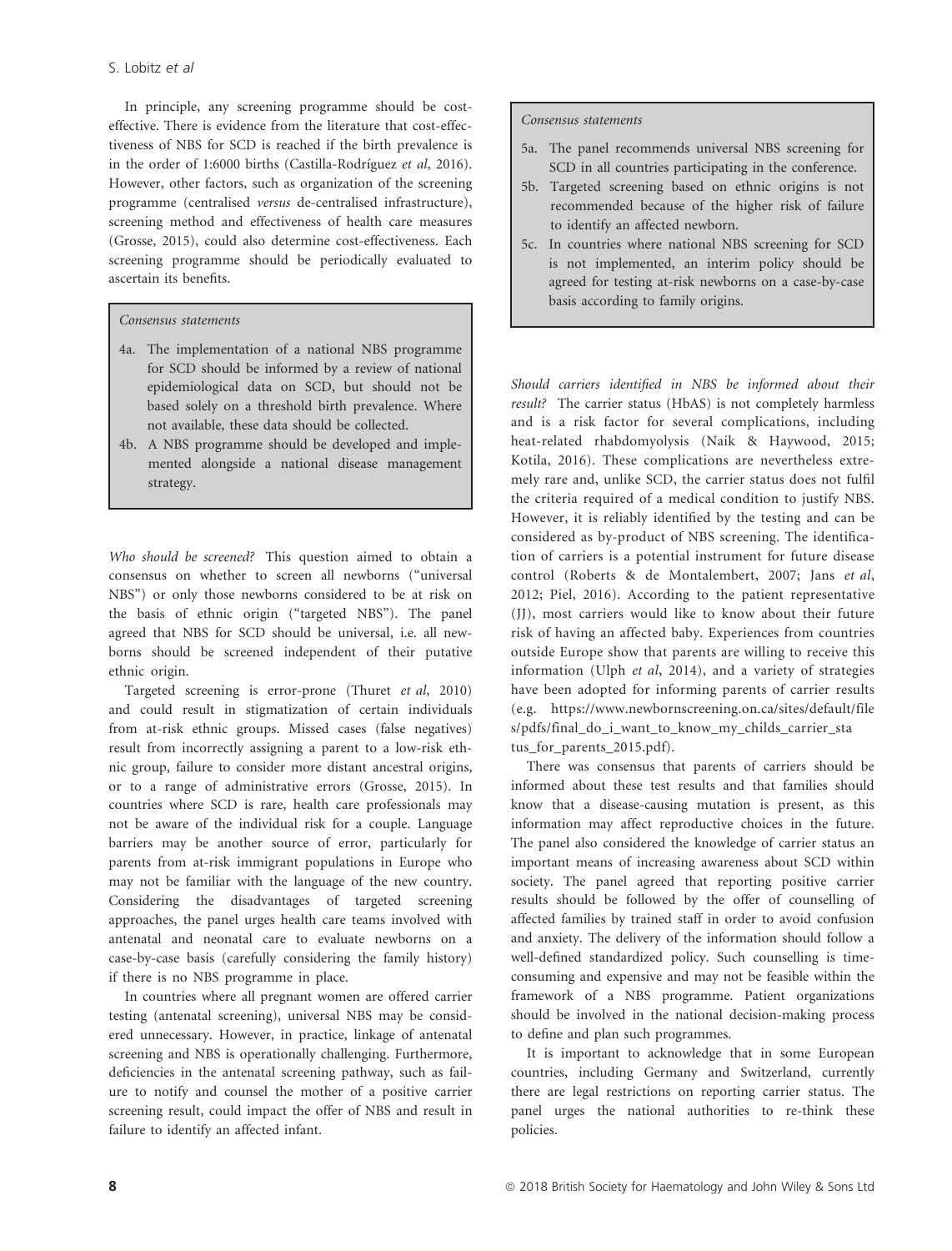## S. Lobitz et al

In principle, any screening programme should be costeffective. There is evidence from the literature that cost-effectiveness of NBS for SCD is reached if the birth prevalence is in the order of 1:6000 births (Castilla-Rodríguez *et al*, 2016). However, other factors, such as organization of the screening programme (centralised versus de-centralised infrastructure), screening method and effectiveness of health care measures (Grosse, 2015), could also determine cost-effectiveness. Each screening programme should be periodically evaluated to ascertain its benefits.

### Consensus statements

- 4a. The implementation of a national NBS programme for SCD should be informed by a review of national epidemiological data on SCD, but should not be based solely on a threshold birth prevalence. Where not available, these data should be collected.
- 4b. A NBS programme should be developed and implemented alongside a national disease management strategy.

Who should be screened? This question aimed to obtain a consensus on whether to screen all newborns ("universal NBS") or only those newborns considered to be at risk on the basis of ethnic origin ("targeted NBS"). The panel agreed that NBS for SCD should be universal, i.e. all newborns should be screened independent of their putative ethnic origin.

Targeted screening is error-prone (Thuret et al, 2010) and could result in stigmatization of certain individuals from at-risk ethnic groups. Missed cases (false negatives) result from incorrectly assigning a parent to a low-risk ethnic group, failure to consider more distant ancestral origins, or to a range of administrative errors (Grosse, 2015). In countries where SCD is rare, health care professionals may not be aware of the individual risk for a couple. Language barriers may be another source of error, particularly for parents from at-risk immigrant populations in Europe who may not be familiar with the language of the new country. Considering the disadvantages of targeted screening approaches, the panel urges health care teams involved with antenatal and neonatal care to evaluate newborns on a case-by-case basis (carefully considering the family history) if there is no NBS programme in place.

In countries where all pregnant women are offered carrier testing (antenatal screening), universal NBS may be considered unnecessary. However, in practice, linkage of antenatal screening and NBS is operationally challenging. Furthermore, deficiencies in the antenatal screening pathway, such as failure to notify and counsel the mother of a positive carrier screening result, could impact the offer of NBS and result in failure to identify an affected infant.

#### Consensus statements

- 5a. The panel recommends universal NBS screening for SCD in all countries participating in the conference.
- 5b. Targeted screening based on ethnic origins is not recommended because of the higher risk of failure to identify an affected newborn.
- 5c. In countries where national NBS screening for SCD is not implemented, an interim policy should be agreed for testing at-risk newborns on a case-by-case basis according to family origins.

Should carriers identified in NBS be informed about their result? The carrier status (HbAS) is not completely harmless and is a risk factor for several complications, including heat-related rhabdomyolysis (Naik & Haywood, 2015; Kotila, 2016). These complications are nevertheless extremely rare and, unlike SCD, the carrier status does not fulfil the criteria required of a medical condition to justify NBS. However, it is reliably identified by the testing and can be considered as by-product of NBS screening. The identification of carriers is a potential instrument for future disease control (Roberts & de Montalembert, 2007; Jans et al, 2012; Piel, 2016). According to the patient representative (JJ), most carriers would like to know about their future risk of having an affected baby. Experiences from countries outside Europe show that parents are willing to receive this information (Ulph et al, 2014), and a variety of strategies have been adopted for informing parents of carrier results (e.g. [https://www.newbornscreening.on.ca/sites/default/file](https://www.newbornscreening.on.ca/sites/default/files/pdfs/final_do_i_want_to_know_my_childs_carrier_status_for_parents_2015.pdf) [s/pdfs/final\\_do\\_i\\_want\\_to\\_know\\_my\\_childs\\_carrier\\_sta](https://www.newbornscreening.on.ca/sites/default/files/pdfs/final_do_i_want_to_know_my_childs_carrier_status_for_parents_2015.pdf) [tus\\_for\\_parents\\_2015.pdf\)](https://www.newbornscreening.on.ca/sites/default/files/pdfs/final_do_i_want_to_know_my_childs_carrier_status_for_parents_2015.pdf).

There was consensus that parents of carriers should be informed about these test results and that families should know that a disease-causing mutation is present, as this information may affect reproductive choices in the future. The panel also considered the knowledge of carrier status an important means of increasing awareness about SCD within society. The panel agreed that reporting positive carrier results should be followed by the offer of counselling of affected families by trained staff in order to avoid confusion and anxiety. The delivery of the information should follow a well-defined standardized policy. Such counselling is timeconsuming and expensive and may not be feasible within the framework of a NBS programme. Patient organizations should be involved in the national decision-making process to define and plan such programmes.

It is important to acknowledge that in some European countries, including Germany and Switzerland, currently there are legal restrictions on reporting carrier status. The panel urges the national authorities to re-think these policies.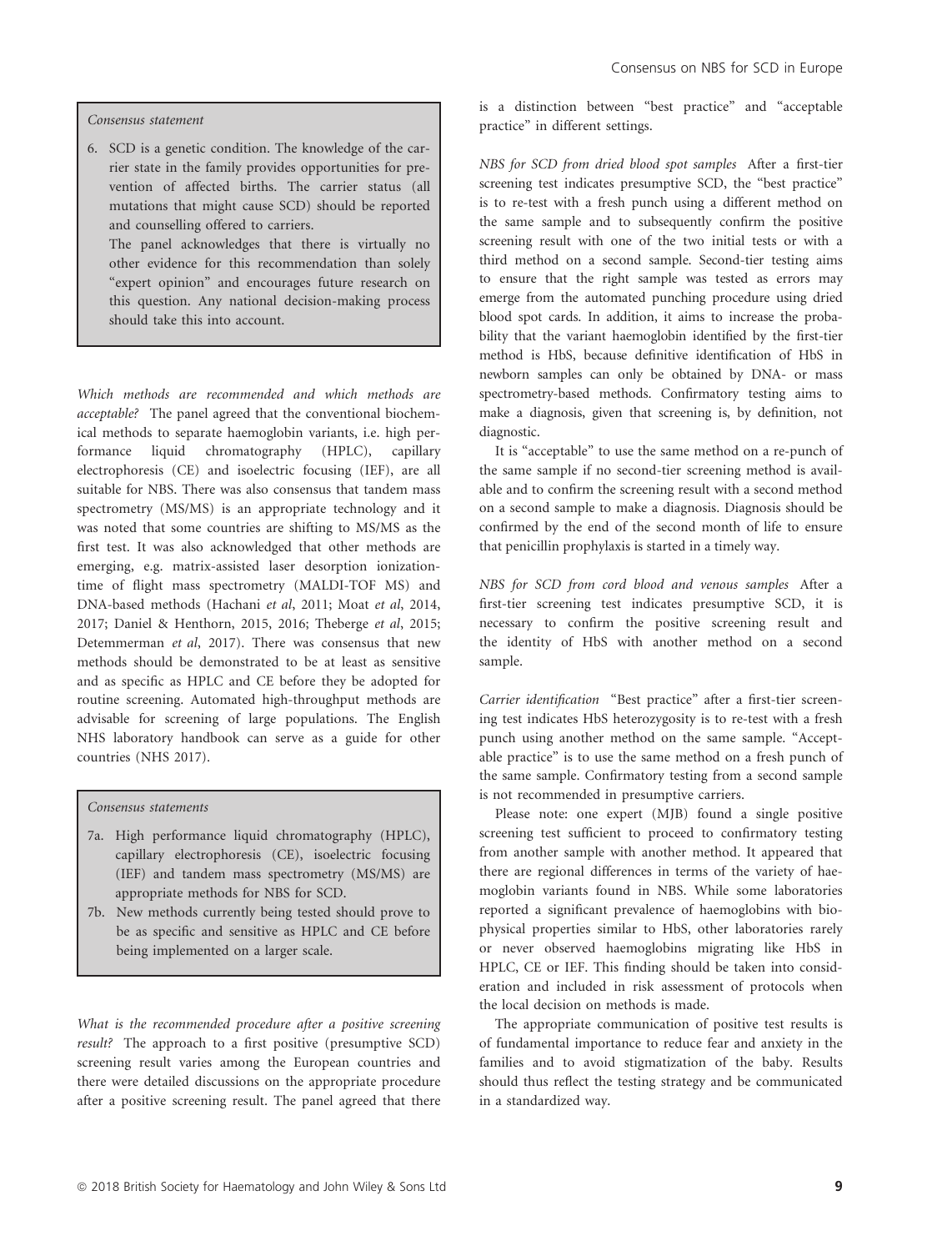#### Consensus statement

6. SCD is a genetic condition. The knowledge of the carrier state in the family provides opportunities for prevention of affected births. The carrier status (all mutations that might cause SCD) should be reported and counselling offered to carriers. The panel acknowledges that there is virtually no other evidence for this recommendation than solely "expert opinion" and encourages future research on this question. Any national decision-making process should take this into account.

Which methods are recommended and which methods are acceptable? The panel agreed that the conventional biochemical methods to separate haemoglobin variants, i.e. high performance liquid chromatography (HPLC), capillary electrophoresis (CE) and isoelectric focusing (IEF), are all suitable for NBS. There was also consensus that tandem mass spectrometry (MS/MS) is an appropriate technology and it was noted that some countries are shifting to MS/MS as the first test. It was also acknowledged that other methods are emerging, e.g. matrix-assisted laser desorption ionizationtime of flight mass spectrometry (MALDI-TOF MS) and DNA-based methods (Hachani et al, 2011; Moat et al, 2014, 2017; Daniel & Henthorn, 2015, 2016; Theberge et al, 2015; Detemmerman et al, 2017). There was consensus that new methods should be demonstrated to be at least as sensitive and as specific as HPLC and CE before they be adopted for routine screening. Automated high-throughput methods are advisable for screening of large populations. The English NHS laboratory handbook can serve as a guide for other countries (NHS 2017).

## Consensus statements

- 7a. High performance liquid chromatography (HPLC), capillary electrophoresis (CE), isoelectric focusing (IEF) and tandem mass spectrometry (MS/MS) are appropriate methods for NBS for SCD.
- 7b. New methods currently being tested should prove to be as specific and sensitive as HPLC and CE before being implemented on a larger scale.

What is the recommended procedure after a positive screening result? The approach to a first positive (presumptive SCD) screening result varies among the European countries and there were detailed discussions on the appropriate procedure after a positive screening result. The panel agreed that there is a distinction between "best practice" and "acceptable practice" in different settings.

NBS for SCD from dried blood spot samples After a first-tier screening test indicates presumptive SCD, the "best practice" is to re-test with a fresh punch using a different method on the same sample and to subsequently confirm the positive screening result with one of the two initial tests or with a third method on a second sample. Second-tier testing aims to ensure that the right sample was tested as errors may emerge from the automated punching procedure using dried blood spot cards. In addition, it aims to increase the probability that the variant haemoglobin identified by the first-tier method is HbS, because definitive identification of HbS in newborn samples can only be obtained by DNA- or mass spectrometry-based methods. Confirmatory testing aims to make a diagnosis, given that screening is, by definition, not diagnostic.

It is "acceptable" to use the same method on a re-punch of the same sample if no second-tier screening method is available and to confirm the screening result with a second method on a second sample to make a diagnosis. Diagnosis should be confirmed by the end of the second month of life to ensure that penicillin prophylaxis is started in a timely way.

NBS for SCD from cord blood and venous samples After a first-tier screening test indicates presumptive SCD, it is necessary to confirm the positive screening result and the identity of HbS with another method on a second sample.

Carrier identification "Best practice" after a first-tier screening test indicates HbS heterozygosity is to re-test with a fresh punch using another method on the same sample. "Acceptable practice" is to use the same method on a fresh punch of the same sample. Confirmatory testing from a second sample is not recommended in presumptive carriers.

Please note: one expert (MJB) found a single positive screening test sufficient to proceed to confirmatory testing from another sample with another method. It appeared that there are regional differences in terms of the variety of haemoglobin variants found in NBS. While some laboratories reported a significant prevalence of haemoglobins with biophysical properties similar to HbS, other laboratories rarely or never observed haemoglobins migrating like HbS in HPLC, CE or IEF. This finding should be taken into consideration and included in risk assessment of protocols when the local decision on methods is made.

The appropriate communication of positive test results is of fundamental importance to reduce fear and anxiety in the families and to avoid stigmatization of the baby. Results should thus reflect the testing strategy and be communicated in a standardized way.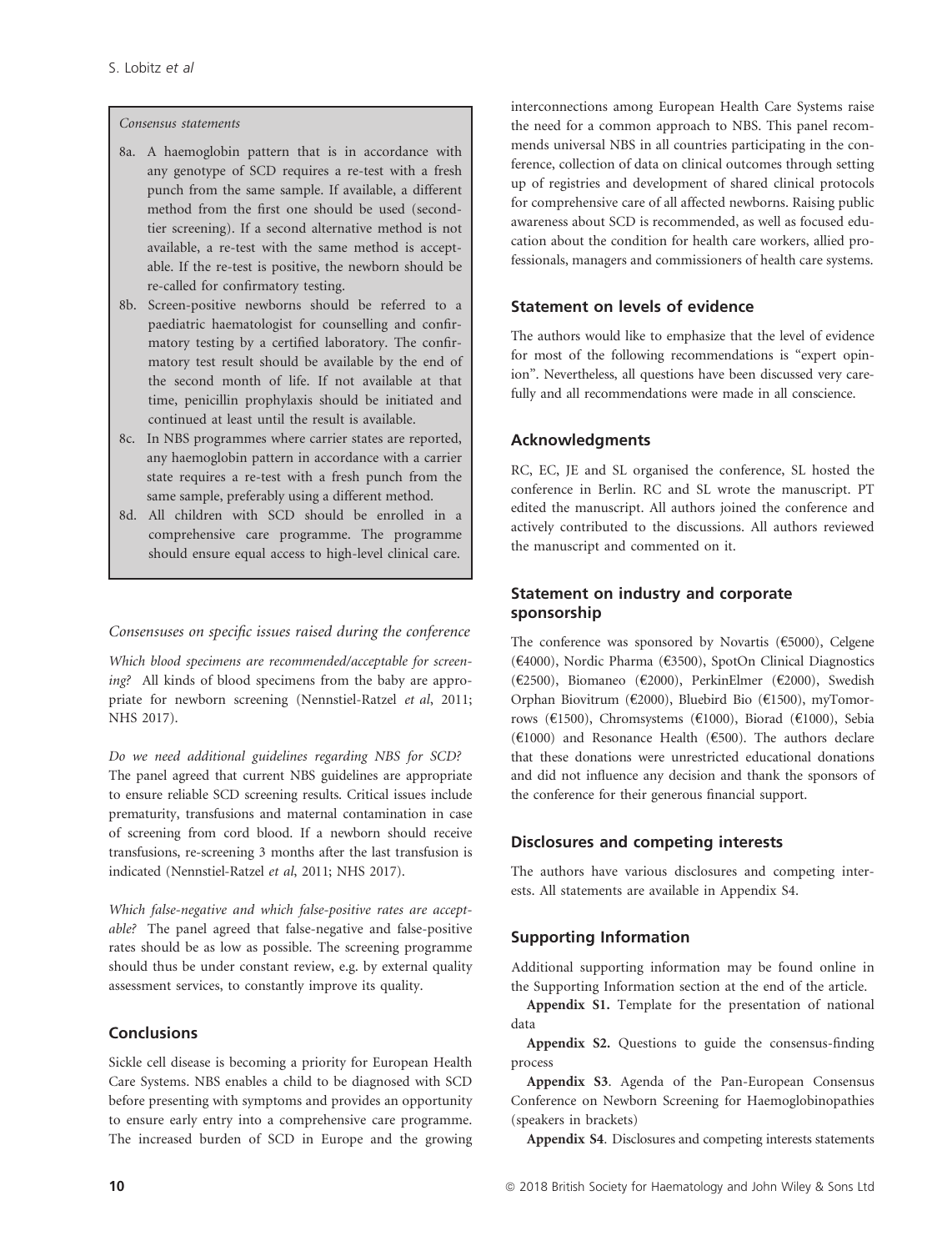## Consensus statements

- 8a. A haemoglobin pattern that is in accordance with any genotype of SCD requires a re-test with a fresh punch from the same sample. If available, a different method from the first one should be used (secondtier screening). If a second alternative method is not available, a re-test with the same method is acceptable. If the re-test is positive, the newborn should be re-called for confirmatory testing.
- 8b. Screen-positive newborns should be referred to a paediatric haematologist for counselling and confirmatory testing by a certified laboratory. The confirmatory test result should be available by the end of the second month of life. If not available at that time, penicillin prophylaxis should be initiated and continued at least until the result is available.
- 8c. In NBS programmes where carrier states are reported, any haemoglobin pattern in accordance with a carrier state requires a re-test with a fresh punch from the same sample, preferably using a different method.
- 8d. All children with SCD should be enrolled in a comprehensive care programme. The programme should ensure equal access to high-level clinical care.

# Consensuses on specific issues raised during the conference

Which blood specimens are recommended/acceptable for screening? All kinds of blood specimens from the baby are appropriate for newborn screening (Nennstiel-Ratzel et al, 2011; NHS 2017).

Do we need additional guidelines regarding NBS for SCD? The panel agreed that current NBS guidelines are appropriate to ensure reliable SCD screening results. Critical issues include prematurity, transfusions and maternal contamination in case of screening from cord blood. If a newborn should receive transfusions, re-screening 3 months after the last transfusion is indicated (Nennstiel-Ratzel et al, 2011; NHS 2017).

Which false-negative and which false-positive rates are acceptable? The panel agreed that false-negative and false-positive rates should be as low as possible. The screening programme should thus be under constant review, e.g. by external quality assessment services, to constantly improve its quality.

# **Conclusions**

Sickle cell disease is becoming a priority for European Health Care Systems. NBS enables a child to be diagnosed with SCD before presenting with symptoms and provides an opportunity to ensure early entry into a comprehensive care programme. The increased burden of SCD in Europe and the growing interconnections among European Health Care Systems raise the need for a common approach to NBS. This panel recommends universal NBS in all countries participating in the conference, collection of data on clinical outcomes through setting up of registries and development of shared clinical protocols for comprehensive care of all affected newborns. Raising public awareness about SCD is recommended, as well as focused education about the condition for health care workers, allied professionals, managers and commissioners of health care systems.

# Statement on levels of evidence

The authors would like to emphasize that the level of evidence for most of the following recommendations is "expert opinion". Nevertheless, all questions have been discussed very carefully and all recommendations were made in all conscience.

# Acknowledgments

RC, EC, JE and SL organised the conference, SL hosted the conference in Berlin. RC and SL wrote the manuscript. PT edited the manuscript. All authors joined the conference and actively contributed to the discussions. All authors reviewed the manuscript and commented on it.

# Statement on industry and corporate sponsorship

The conference was sponsored by Novartis (€5000), Celgene (€4000), Nordic Pharma (€3500), SpotOn Clinical Diagnostics (€2500), Biomaneo (€2000), PerkinElmer (€2000), Swedish Orphan Biovitrum (€2000), Bluebird Bio (€1500), myTomorrows (€1500), Chromsystems (€1000), Biorad (€1000), Sebia ( $€1000$ ) and Resonance Health ( $€500$ ). The authors declare that these donations were unrestricted educational donations and did not influence any decision and thank the sponsors of the conference for their generous financial support.

# Disclosures and competing interests

The authors have various disclosures and competing interests. All statements are available in Appendix S4.

# Supporting Information

Additional supporting information may be found online in the Supporting Information section at the end of the article.

Appendix S1. Template for the presentation of national data

Appendix S2. Questions to guide the consensus-finding process

Appendix S3. Agenda of the Pan-European Consensus Conference on Newborn Screening for Haemoglobinopathies (speakers in brackets)

Appendix S4. Disclosures and competing interests statements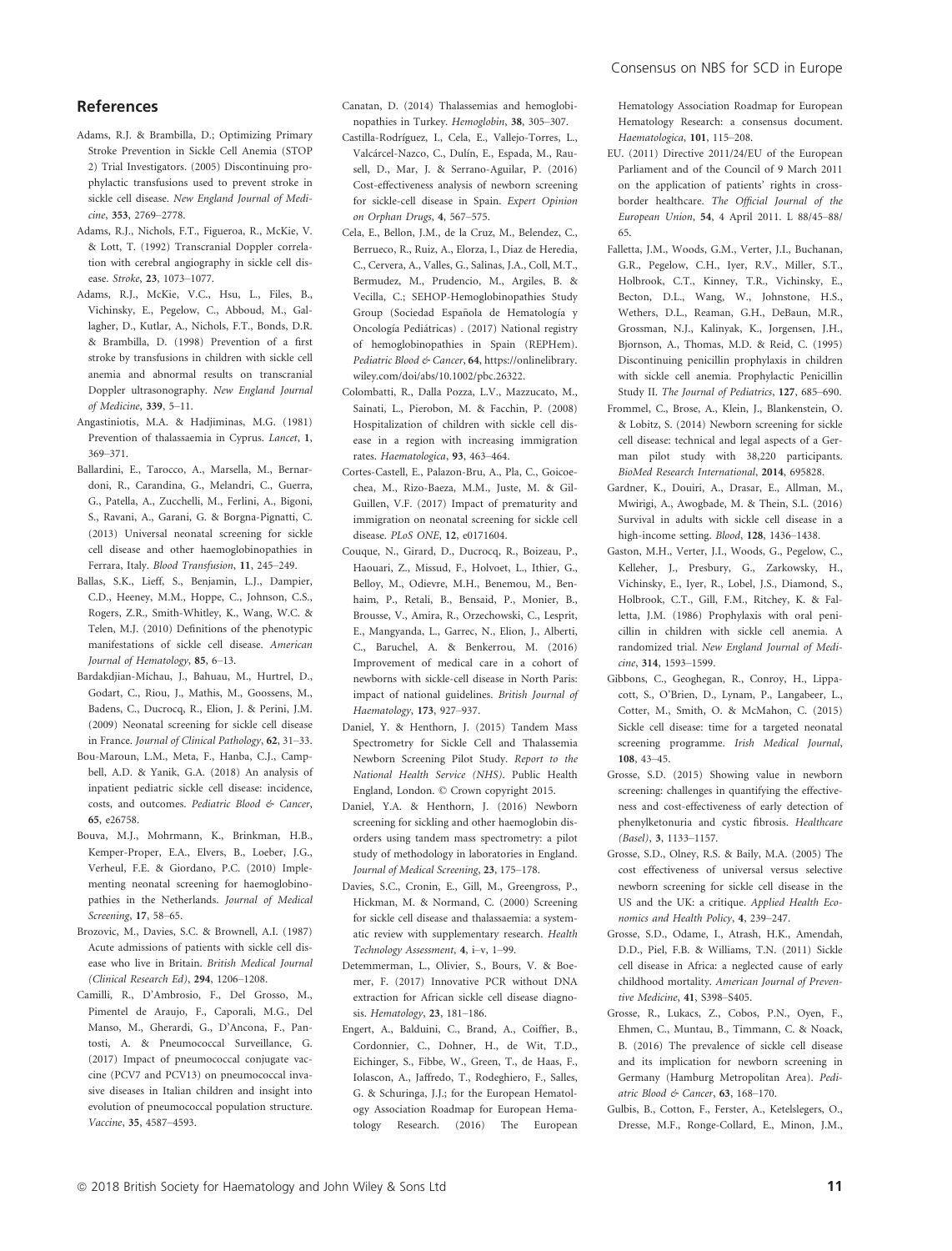## References

- Adams, R.J. & Brambilla, D.; Optimizing Primary Stroke Prevention in Sickle Cell Anemia (STOP 2) Trial Investigators. (2005) Discontinuing prophylactic transfusions used to prevent stroke in sickle cell disease. New England Journal of Medicine, 353, 2769–2778.
- Adams, R.J., Nichols, F.T., Figueroa, R., McKie, V. & Lott, T. (1992) Transcranial Doppler correlation with cerebral angiography in sickle cell disease. Stroke, 23, 1073–1077.
- Adams, R.J., McKie, V.C., Hsu, L., Files, B., Vichinsky, E., Pegelow, C., Abboud, M., Gallagher, D., Kutlar, A., Nichols, F.T., Bonds, D.R. & Brambilla, D. (1998) Prevention of a first stroke by transfusions in children with sickle cell anemia and abnormal results on transcranial Doppler ultrasonography. New England Journal of Medicine, 339, 5–11.
- Angastiniotis, M.A. & Hadjiminas, M.G. (1981) Prevention of thalassaemia in Cyprus. Lancet, 1, 369–371.
- Ballardini, E., Tarocco, A., Marsella, M., Bernardoni, R., Carandina, G., Melandri, C., Guerra, G., Patella, A., Zucchelli, M., Ferlini, A., Bigoni, S., Ravani, A., Garani, G. & Borgna-Pignatti, C. (2013) Universal neonatal screening for sickle cell disease and other haemoglobinopathies in Ferrara, Italy. Blood Transfusion, 11, 245–249.
- Ballas, S.K., Lieff, S., Benjamin, L.J., Dampier, C.D., Heeney, M.M., Hoppe, C., Johnson, C.S., Rogers, Z.R., Smith-Whitley, K., Wang, W.C. & Telen, M.J. (2010) Definitions of the phenotypic manifestations of sickle cell disease. American Journal of Hematology, 85, 6–13.
- Bardakdjian-Michau, J., Bahuau, M., Hurtrel, D., Godart, C., Riou, J., Mathis, M., Goossens, M., Badens, C., Ducrocq, R., Elion, J. & Perini, J.M. (2009) Neonatal screening for sickle cell disease in France. Journal of Clinical Pathology, 62, 31–33.
- Bou-Maroun, L.M., Meta, F., Hanba, C.J., Campbell, A.D. & Yanik, G.A. (2018) An analysis of inpatient pediatric sickle cell disease: incidence, costs, and outcomes. Pediatric Blood & Cancer, 65, e26758.
- Bouva, M.J., Mohrmann, K., Brinkman, H.B., Kemper-Proper, E.A., Elvers, B., Loeber, J.G., Verheul, F.E. & Giordano, P.C. (2010) Implementing neonatal screening for haemoglobinopathies in the Netherlands. Journal of Medical Screening, 17, 58–65.
- Brozovic, M., Davies, S.C. & Brownell, A.I. (1987) Acute admissions of patients with sickle cell disease who live in Britain. British Medical Journal (Clinical Research Ed), 294, 1206–1208.
- Camilli, R., D'Ambrosio, F., Del Grosso, M., Pimentel de Araujo, F., Caporali, M.G., Del Manso, M., Gherardi, G., D'Ancona, F., Pantosti, A. & Pneumococcal Surveillance, G. (2017) Impact of pneumococcal conjugate vaccine (PCV7 and PCV13) on pneumococcal invasive diseases in Italian children and insight into evolution of pneumococcal population structure. Vaccine, 35, 4587–4593.
- Canatan, D. (2014) Thalassemias and hemoglobinopathies in Turkey. Hemoglobin, 38, 305–307.
- Castilla-Rodríguez, I., Cela, E., Vallejo-Torres, L., Valcárcel-Nazco, C., Dulín, E., Espada, M., Rausell, D., Mar, J. & Serrano-Aguilar, P. (2016) Cost-effectiveness analysis of newborn screening for sickle-cell disease in Spain. Expert Opinion on Orphan Drugs, 4, 567–575.
- Cela, E., Bellon, J.M., de la Cruz, M., Belendez, C., Berrueco, R., Ruiz, A., Elorza, I., Diaz de Heredia, C., Cervera, A., Valles, G., Salinas, J.A., Coll, M.T., Bermudez, M., Prudencio, M., Argiles, B. & Vecilla, C.; SEHOP-Hemoglobinopathies Study Group (Sociedad Española de Hematología y Oncología Pediátricas) . (2017) National registry of hemoglobinopathies in Spain (REPHem). Pediatric Blood & Cancer, 64, [https://onlinelibrary.](https://onlinelibrary.wiley.com/doi/abs/10.1002/pbc.26322) [wiley.com/doi/abs/10.1002/pbc.26322](https://onlinelibrary.wiley.com/doi/abs/10.1002/pbc.26322).
- Colombatti, R., Dalla Pozza, L.V., Mazzucato, M., Sainati, L., Pierobon, M. & Facchin, P. (2008) Hospitalization of children with sickle cell disease in a region with increasing immigration rates. Haematologica, 93, 463–464.
- Cortes-Castell, E., Palazon-Bru, A., Pla, C., Goicoechea, M., Rizo-Baeza, M.M., Juste, M. & Gil-Guillen, V.F. (2017) Impact of prematurity and immigration on neonatal screening for sickle cell disease. PLoS ONE, 12, e0171604.
- Couque, N., Girard, D., Ducrocq, R., Boizeau, P., Haouari, Z., Missud, F., Holvoet, L., Ithier, G., Belloy, M., Odievre, M.H., Benemou, M., Benhaim, P., Retali, B., Bensaid, P., Monier, B., Brousse, V., Amira, R., Orzechowski, C., Lesprit, E., Mangyanda, L., Garrec, N., Elion, J., Alberti, C., Baruchel, A. & Benkerrou, M. (2016) Improvement of medical care in a cohort of newborns with sickle-cell disease in North Paris: impact of national guidelines. British Journal of Haematology, 173, 927–937.
- Daniel, Y. & Henthorn, J. (2015) Tandem Mass Spectrometry for Sickle Cell and Thalassemia Newborn Screening Pilot Study. Report to the National Health Service (NHS). Public Health England, London. © Crown copyright 2015.
- Daniel, Y.A. & Henthorn, J. (2016) Newborn screening for sickling and other haemoglobin disorders using tandem mass spectrometry: a pilot study of methodology in laboratories in England. Journal of Medical Screening, 23, 175–178.
- Davies, S.C., Cronin, E., Gill, M., Greengross, P., Hickman, M. & Normand, C. (2000) Screening for sickle cell disease and thalassaemia: a systematic review with supplementary research. Health Technology Assessment, 4, i–v, 1–99.
- Detemmerman, L., Olivier, S., Bours, V. & Boemer, F. (2017) Innovative PCR without DNA extraction for African sickle cell disease diagnosis. Hematology, 23, 181–186.
- Engert, A., Balduini, C., Brand, A., Coiffier, B., Cordonnier, C., Dohner, H., de Wit, T.D., Eichinger, S., Fibbe, W., Green, T., de Haas, F., Iolascon, A., Jaffredo, T., Rodeghiero, F., Salles, G. & Schuringa, J.J.; for the European Hematology Association Roadmap for European Hematology Research. (2016) The European

Hematology Association Roadmap for European Hematology Research: a consensus document. Haematologica, 101, 115–208.

- EU. (2011) Directive 2011/24/EU of the European Parliament and of the Council of 9 March 2011 on the application of patients' rights in crossborder healthcare. The Official Journal of the European Union, 54, 4 April 2011. L 88/45–88/ 65.
- Falletta, J.M., Woods, G.M., Verter, J.I., Buchanan, G.R., Pegelow, C.H., Iyer, R.V., Miller, S.T., Holbrook, C.T., Kinney, T.R., Vichinsky, E., Becton, D.L., Wang, W., Johnstone, H.S., Wethers, D.L., Reaman, G.H., DeBaun, M.R., Grossman, N.J., Kalinyak, K., Jorgensen, J.H., Bjornson, A., Thomas, M.D. & Reid, C. (1995) Discontinuing penicillin prophylaxis in children with sickle cell anemia. Prophylactic Penicillin Study II. The Journal of Pediatrics, 127, 685–690.
- Frommel, C., Brose, A., Klein, J., Blankenstein, O. & Lobitz, S. (2014) Newborn screening for sickle cell disease: technical and legal aspects of a German pilot study with 38,220 participants. BioMed Research International, 2014, 695828.
- Gardner, K., Douiri, A., Drasar, E., Allman, M., Mwirigi, A., Awogbade, M. & Thein, S.L. (2016) Survival in adults with sickle cell disease in a high-income setting. Blood, 128, 1436–1438.
- Gaston, M.H., Verter, J.I., Woods, G., Pegelow, C., Kelleher, J., Presbury, G., Zarkowsky, H., Vichinsky, E., Iyer, R., Lobel, J.S., Diamond, S., Holbrook, C.T., Gill, F.M., Ritchey, K. & Falletta, J.M. (1986) Prophylaxis with oral penicillin in children with sickle cell anemia. A randomized trial. New England Journal of Medicine, 314, 1593–1599.
- Gibbons, C., Geoghegan, R., Conroy, H., Lippacott, S., O'Brien, D., Lynam, P., Langabeer, L., Cotter, M., Smith, O. & McMahon, C. (2015) Sickle cell disease: time for a targeted neonatal screening programme. Irish Medical Journal, 108, 43–45.
- Grosse, S.D. (2015) Showing value in newborn screening: challenges in quantifying the effectiveness and cost-effectiveness of early detection of phenylketonuria and cystic fibrosis. Healthcare (Basel), 3, 1133–1157.
- Grosse, S.D., Olney, R.S. & Baily, M.A. (2005) The cost effectiveness of universal versus selective newborn screening for sickle cell disease in the US and the UK: a critique. Applied Health Economics and Health Policy, 4, 239–247.
- Grosse, S.D., Odame, I., Atrash, H.K., Amendah, D.D., Piel, F.B. & Williams, T.N. (2011) Sickle cell disease in Africa: a neglected cause of early childhood mortality. American Journal of Preventive Medicine, 41, S398–S405.
- Grosse, R., Lukacs, Z., Cobos, P.N., Oyen, F., Ehmen, C., Muntau, B., Timmann, C. & Noack, B. (2016) The prevalence of sickle cell disease and its implication for newborn screening in Germany (Hamburg Metropolitan Area). Pediatric Blood & Cancer, 63, 168–170.
- Gulbis, B., Cotton, F., Ferster, A., Ketelslegers, O., Dresse, M.F., Ronge-Collard, E., Minon, J.M.,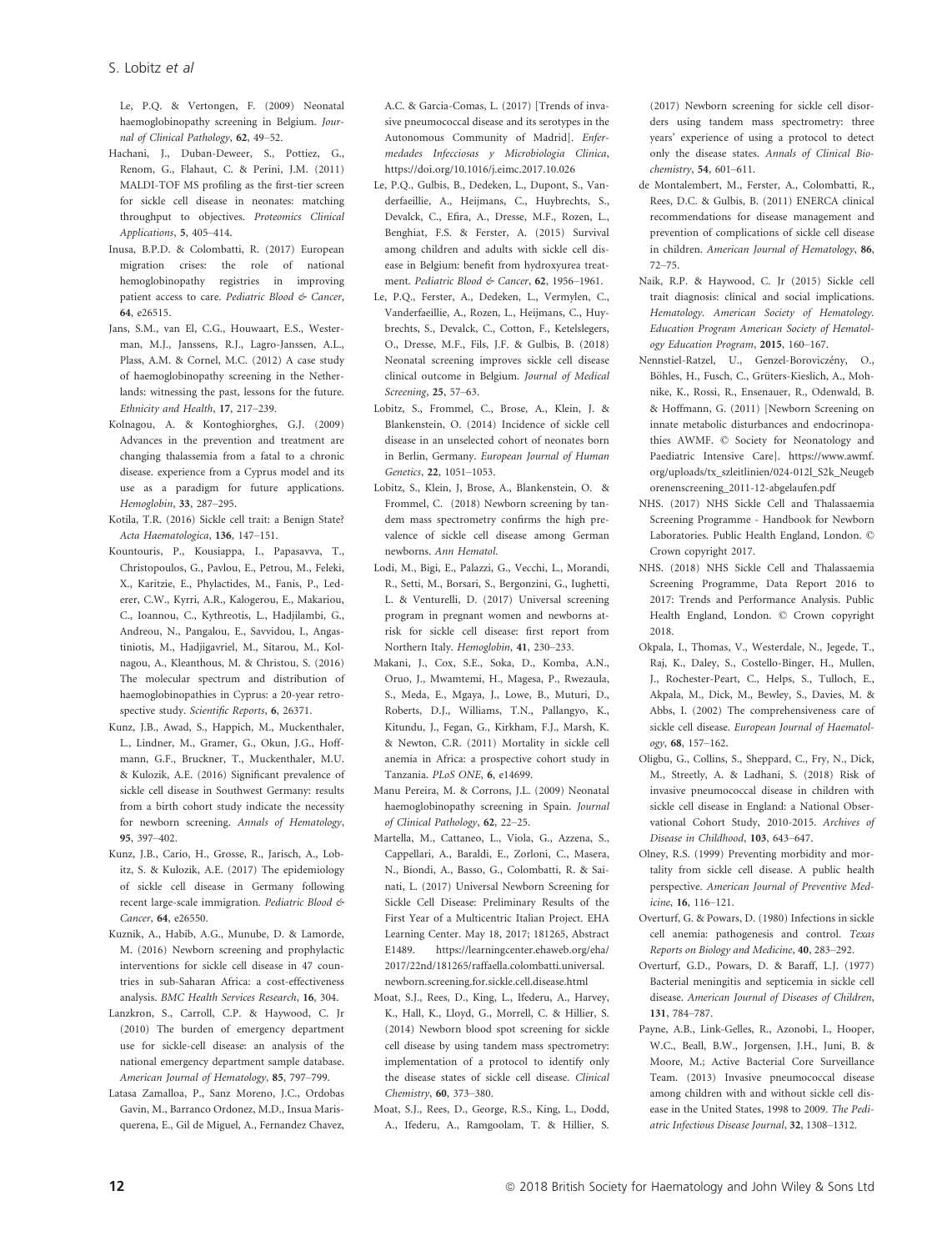Le, P.Q. & Vertongen, F. (2009) Neonatal haemoglobinopathy screening in Belgium. Journal of Clinical Pathology, 62, 49–52.

- Hachani, J., Duban-Deweer, S., Pottiez, G., Renom, G., Flahaut, C. & Perini, J.M. (2011) MALDI-TOF MS profiling as the first-tier screen for sickle cell disease in neonates: matching throughput to objectives. Proteomics Clinical Applications, 5, 405–414.
- Inusa, B.P.D. & Colombatti, R. (2017) European migration crises: the role of national hemoglobinopathy registries in improving patient access to care. Pediatric Blood & Cancer, 64, e26515.
- Jans, S.M., van El, C.G., Houwaart, E.S., Westerman, M.J., Janssens, R.J., Lagro-Janssen, A.L., Plass, A.M. & Cornel, M.C. (2012) A case study of haemoglobinopathy screening in the Netherlands: witnessing the past, lessons for the future. Ethnicity and Health, 17, 217–239.
- Kolnagou, A. & Kontoghiorghes, G.J. (2009) Advances in the prevention and treatment are changing thalassemia from a fatal to a chronic disease. experience from a Cyprus model and its use as a paradigm for future applications. Hemoglobin, 33, 287–295.
- Kotila, T.R. (2016) Sickle cell trait: a Benign State? Acta Haematologica, 136, 147–151.
- Kountouris, P., Kousiappa, I., Papasavva, T., Christopoulos, G., Pavlou, E., Petrou, M., Feleki, X., Karitzie, E., Phylactides, M., Fanis, P., Lederer, C.W., Kyrri, A.R., Kalogerou, E., Makariou, C., Ioannou, C., Kythreotis, L., Hadjilambi, G., Andreou, N., Pangalou, E., Savvidou, I., Angastiniotis, M., Hadjigavriel, M., Sitarou, M., Kolnagou, A., Kleanthous, M. & Christou, S. (2016) The molecular spectrum and distribution of haemoglobinopathies in Cyprus: a 20-year retrospective study. Scientific Reports, 6, 26371.
- Kunz, J.B., Awad, S., Happich, M., Muckenthaler, L., Lindner, M., Gramer, G., Okun, J.G., Hoffmann, G.F., Bruckner, T., Muckenthaler, M.U. & Kulozik, A.E. (2016) Significant prevalence of sickle cell disease in Southwest Germany: results from a birth cohort study indicate the necessity for newborn screening. Annals of Hematology, 95, 397–402.
- Kunz, J.B., Cario, H., Grosse, R., Jarisch, A., Lobitz, S. & Kulozik, A.E. (2017) The epidemiology of sickle cell disease in Germany following recent large-scale immigration. Pediatric Blood & Cancer, 64, e26550.
- Kuznik, A., Habib, A.G., Munube, D. & Lamorde, M. (2016) Newborn screening and prophylactic interventions for sickle cell disease in 47 countries in sub-Saharan Africa: a cost-effectiveness analysis. BMC Health Services Research, 16, 304.
- Lanzkron, S., Carroll, C.P. & Haywood, C. Jr (2010) The burden of emergency department use for sickle-cell disease: an analysis of the national emergency department sample database. American Journal of Hematology, 85, 797–799.
- Latasa Zamalloa, P., Sanz Moreno, J.C., Ordobas Gavin, M., Barranco Ordonez, M.D., Insua Marisquerena, E., Gil de Miguel, A., Fernandez Chavez,

A.C. & Garcia-Comas, L. (2017) [Trends of invasive pneumococcal disease and its serotypes in the Autonomous Community of Madrid]. Enfermedades Infecciosas y Microbiologia Clinica, <https://doi.org/10.1016/j.eimc.2017.10.026>

- Le, P.Q., Gulbis, B., Dedeken, L., Dupont, S., Vanderfaeillie, A., Heijmans, C., Huybrechts, S., Devalck, C., Efira, A., Dresse, M.F., Rozen, L., Benghiat, F.S. & Ferster, A. (2015) Survival among children and adults with sickle cell disease in Belgium: benefit from hydroxyurea treatment. Pediatric Blood & Cancer, 62, 1956–1961.
- Le, P.Q., Ferster, A., Dedeken, L., Vermylen, C., Vanderfaeillie, A., Rozen, L., Heijmans, C., Huybrechts, S., Devalck, C., Cotton, F., Ketelslegers, O., Dresse, M.F., Fils, J.F. & Gulbis, B. (2018) Neonatal screening improves sickle cell disease clinical outcome in Belgium. Journal of Medical Screening, 25, 57–63.
- Lobitz, S., Frommel, C., Brose, A., Klein, J. & Blankenstein, O. (2014) Incidence of sickle cell disease in an unselected cohort of neonates born in Berlin, Germany. European Journal of Human Genetics, 22, 1051–1053.
- Lobitz, S., Klein, J, Brose, A., Blankenstein, O. & Frommel, C. (2018) Newborn screening by tandem mass spectrometry confirms the high prevalence of sickle cell disease among German newborns. Ann Hematol.
- Lodi, M., Bigi, E., Palazzi, G., Vecchi, L., Morandi, R., Setti, M., Borsari, S., Bergonzini, G., Iughetti, L. & Venturelli, D. (2017) Universal screening program in pregnant women and newborns atrisk for sickle cell disease: first report from Northern Italy. Hemoglobin, 41, 230–233.
- Makani, J., Cox, S.E., Soka, D., Komba, A.N., Oruo, J., Mwamtemi, H., Magesa, P., Rwezaula, S., Meda, E., Mgaya, J., Lowe, B., Muturi, D., Roberts, D.J., Williams, T.N., Pallangyo, K., Kitundu, J., Fegan, G., Kirkham, F.J., Marsh, K. & Newton, C.R. (2011) Mortality in sickle cell anemia in Africa: a prospective cohort study in Tanzania. PLoS ONE, 6, e14699.
- Manu Pereira, M. & Corrons, J.L. (2009) Neonatal haemoglobinopathy screening in Spain. Journal of Clinical Pathology, 62, 22–25.
- Martella, M., Cattaneo, L., Viola, G., Azzena, S., Cappellari, A., Baraldi, E., Zorloni, C., Masera, N., Biondi, A., Basso, G., Colombatti, R. & Sainati, L. (2017) Universal Newborn Screening for Sickle Cell Disease: Preliminary Results of the First Year of a Multicentric Italian Project. EHA Learning Center. May 18, 2017; 181265, Abstract E1489. [https://learningcenter.ehaweb.org/eha/](https://learningcenter.ehaweb.org/eha/2017/22nd/181265/raffaella.colombatti.universal.newborn.screening.for.sickle.cell.disease.html) [2017/22nd/181265/raffaella.colombatti.universal.](https://learningcenter.ehaweb.org/eha/2017/22nd/181265/raffaella.colombatti.universal.newborn.screening.for.sickle.cell.disease.html) [newborn.screening.for.sickle.cell.disease.html](https://learningcenter.ehaweb.org/eha/2017/22nd/181265/raffaella.colombatti.universal.newborn.screening.for.sickle.cell.disease.html)
- Moat, S.J., Rees, D., King, L., Ifederu, A., Harvey, K., Hall, K., Lloyd, G., Morrell, C. & Hillier, S. (2014) Newborn blood spot screening for sickle cell disease by using tandem mass spectrometry: implementation of a protocol to identify only the disease states of sickle cell disease. Clinical Chemistry, 60, 373–380.
- Moat, S.J., Rees, D., George, R.S., King, L., Dodd, A., Ifederu, A., Ramgoolam, T. & Hillier, S.

(2017) Newborn screening for sickle cell disorders using tandem mass spectrometry: three years' experience of using a protocol to detect only the disease states. Annals of Clinical Biochemistry, 54, 601–611.

- de Montalembert, M., Ferster, A., Colombatti, R., Rees, D.C. & Gulbis, B. (2011) ENERCA clinical recommendations for disease management and prevention of complications of sickle cell disease in children. American Journal of Hematology, 86, 72–75.
- Naik, R.P. & Haywood, C. Jr (2015) Sickle cell trait diagnosis: clinical and social implications. Hematology. American Society of Hematology. Education Program American Society of Hematology Education Program, 2015, 160–167.
- Nennstiel-Ratzel, U., Genzel-Boroviczény, O., Böhles, H., Fusch, C., Grüters-Kieslich, A., Mohnike, K., Rossi, R., Ensenauer, R., Odenwald, B. & Hoffmann, G. (2011) [Newborn Screening on innate metabolic disturbances and endocrinopathies AWMF. © Society for Neonatology and Paediatric Intensive Care]. [https://www.awmf.](https://www.awmf.org/uploads/tx_szleitlinien/024-012l_S2k_Neugeborenenscreening_2011-12-abgelaufen.pdf) [org/uploads/tx\\_szleitlinien/024-012l\\_S2k\\_Neugeb](https://www.awmf.org/uploads/tx_szleitlinien/024-012l_S2k_Neugeborenenscreening_2011-12-abgelaufen.pdf) [orenenscreening\\_2011-12-abgelaufen.pdf](https://www.awmf.org/uploads/tx_szleitlinien/024-012l_S2k_Neugeborenenscreening_2011-12-abgelaufen.pdf)
- NHS. (2017) NHS Sickle Cell and Thalassaemia Screening Programme - Handbook for Newborn Laboratories. Public Health England, London. © Crown copyright 2017.
- NHS. (2018) NHS Sickle Cell and Thalassaemia Screening Programme, Data Report 2016 to 2017: Trends and Performance Analysis. Public Health England, London. © Crown copyright 2018.
- Okpala, I., Thomas, V., Westerdale, N., Jegede, T., Raj, K., Daley, S., Costello-Binger, H., Mullen, J., Rochester-Peart, C., Helps, S., Tulloch, E., Akpala, M., Dick, M., Bewley, S., Davies, M. & Abbs, I. (2002) The comprehensiveness care of sickle cell disease. European Journal of Haematology, 68, 157–162.
- Oligbu, G., Collins, S., Sheppard, C., Fry, N., Dick, M., Streetly, A. & Ladhani, S. (2018) Risk of invasive pneumococcal disease in children with sickle cell disease in England: a National Observational Cohort Study, 2010-2015. Archives of Disease in Childhood, 103, 643–647.
- Olney, R.S. (1999) Preventing morbidity and mortality from sickle cell disease. A public health perspective. American Journal of Preventive Medicine, 16, 116–121.
- Overturf, G. & Powars, D. (1980) Infections in sickle cell anemia: pathogenesis and control. Texas Reports on Biology and Medicine, 40, 283–292.
- Overturf, G.D., Powars, D. & Baraff, L.J. (1977) Bacterial meningitis and septicemia in sickle cell disease. American Journal of Diseases of Children, 131, 784–787.
- Payne, A.B., Link-Gelles, R., Azonobi, I., Hooper, W.C., Beall, B.W., Jorgensen, J.H., Juni, B. & Moore, M.; Active Bacterial Core Surveillance Team. (2013) Invasive pneumococcal disease among children with and without sickle cell disease in the United States, 1998 to 2009. The Pediatric Infectious Disease Journal, 32, 1308–1312.